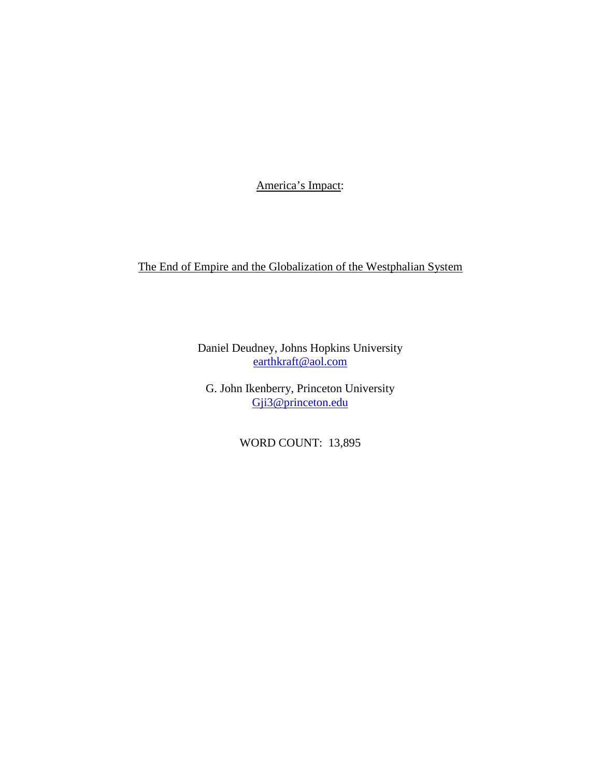America's Impact:

The End of Empire and the Globalization of the Westphalian System

Daniel Deudney, Johns Hopkins University [earthkraft@aol.com](mailto:earthkraft@aol.com)

G. John Ikenberry, Princeton University [Gji3@princeton.edu](mailto:Gji3@princeton.edu)

WORD COUNT: 13,895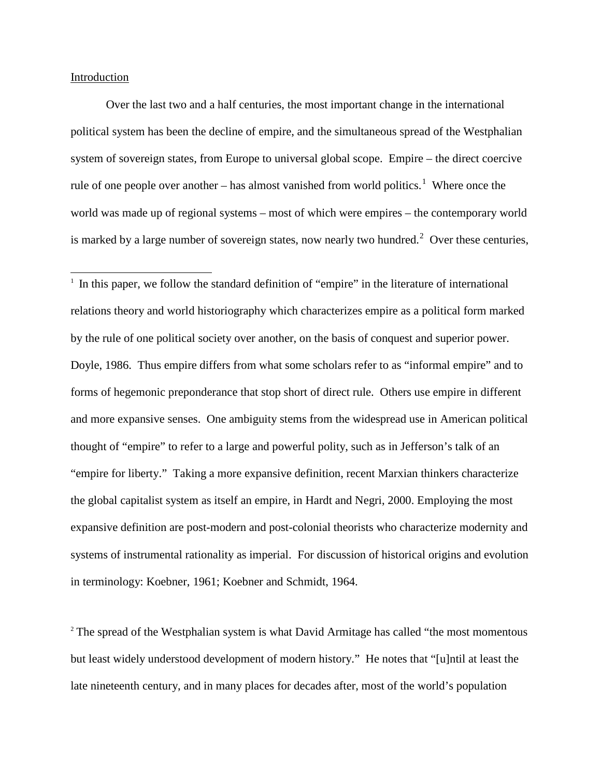## Introduction

Over the last two and a half centuries, the most important change in the international political system has been the decline of empire, and the simultaneous spread of the Westphalian system of sovereign states, from Europe to universal global scope. Empire – the direct coercive rule of one people over another – has almost vanished from world politics.<sup>[1](#page-1-0)</sup> Where once the world was made up of regional systems – most of which were empires – the contemporary world is marked by a large number of sovereign states, now nearly two hundred.<sup>[2](#page-1-1)</sup> Over these centuries,

<span id="page-1-0"></span> $\frac{1}{1}$  $\frac{1}{1}$  In this paper, we follow the standard definition of "empire" in the literature of international relations theory and world historiography which characterizes empire as a political form marked by the rule of one political society over another, on the basis of conquest and superior power. Doyle, 1986. Thus empire differs from what some scholars refer to as "informal empire" and to forms of hegemonic preponderance that stop short of direct rule. Others use empire in different and more expansive senses. One ambiguity stems from the widespread use in American political thought of "empire" to refer to a large and powerful polity, such as in Jefferson's talk of an "empire for liberty." Taking a more expansive definition, recent Marxian thinkers characterize the global capitalist system as itself an empire, in Hardt and Negri, 2000. Employing the most expansive definition are post-modern and post-colonial theorists who characterize modernity and systems of instrumental rationality as imperial. For discussion of historical origins and evolution in terminology: Koebner, 1961; Koebner and Schmidt, 1964.

<span id="page-1-1"></span><sup>2</sup> The spread of the Westphalian system is what David Armitage has called "the most momentous" but least widely understood development of modern history." He notes that "[u]ntil at least the late nineteenth century, and in many places for decades after, most of the world's population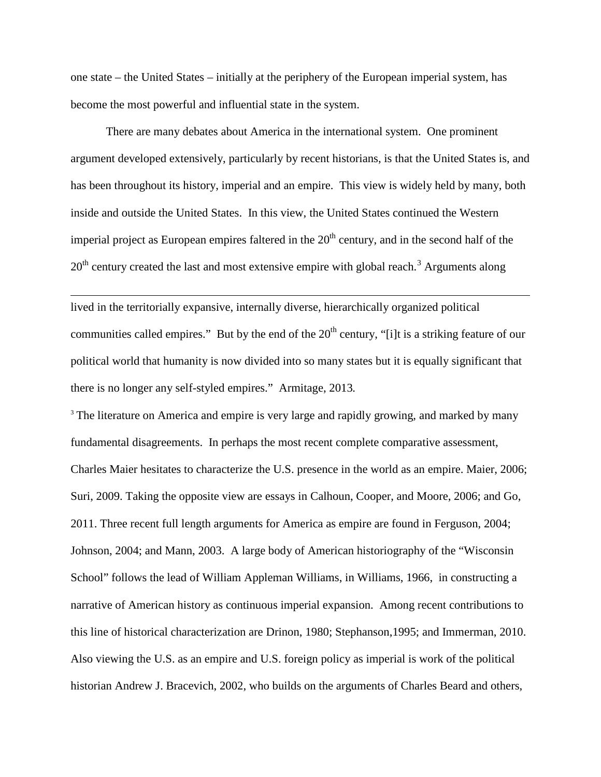one state – the United States – initially at the periphery of the European imperial system, has become the most powerful and influential state in the system.

There are many debates about America in the international system. One prominent argument developed extensively, particularly by recent historians, is that the United States is, and has been throughout its history, imperial and an empire. This view is widely held by many, both inside and outside the United States. In this view, the United States continued the Western imperial project as European empires faltered in the  $20<sup>th</sup>$  century, and in the second half of the  $20<sup>th</sup>$  century created the last and most extensive empire with global reach.<sup>[3](#page-2-0)</sup> Arguments along

lived in the territorially expansive, internally diverse, hierarchically organized political communities called empires." But by the end of the  $20<sup>th</sup>$  century, "[i]t is a striking feature of our political world that humanity is now divided into so many states but it is equally significant that there is no longer any self-styled empires." Armitage, 2013*.*

 $\overline{a}$ 

<span id="page-2-0"></span><sup>3</sup> The literature on America and empire is very large and rapidly growing, and marked by many fundamental disagreements. In perhaps the most recent complete comparative assessment, Charles Maier hesitates to characterize the U.S. presence in the world as an empire. Maier, 2006; Suri, 2009. Taking the opposite view are essays in Calhoun, Cooper, and Moore, 2006; and Go, 2011. Three recent full length arguments for America as empire are found in Ferguson, 2004; Johnson, 2004; and Mann, 2003. A large body of American historiography of the "Wisconsin School" follows the lead of William Appleman Williams, in Williams, 1966, in constructing a narrative of American history as continuous imperial expansion. Among recent contributions to this line of historical characterization are Drinon, 1980; Stephanson,1995; and Immerman, 2010. Also viewing the U.S. as an empire and U.S. foreign policy as imperial is work of the political historian Andrew J. Bracevich, 2002, who builds on the arguments of Charles Beard and others,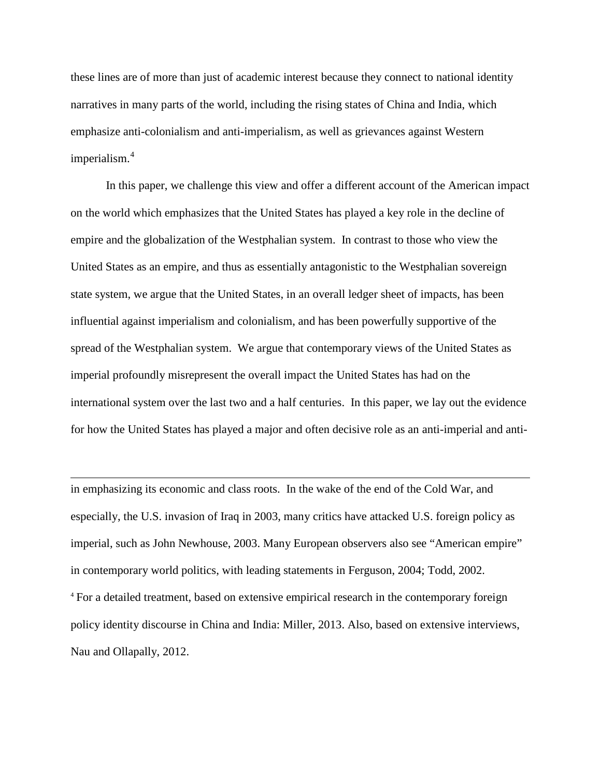these lines are of more than just of academic interest because they connect to national identity narratives in many parts of the world, including the rising states of China and India, which emphasize anti-colonialism and anti-imperialism, as well as grievances against Western imperialism.[4](#page-3-0)

In this paper, we challenge this view and offer a different account of the American impact on the world which emphasizes that the United States has played a key role in the decline of empire and the globalization of the Westphalian system. In contrast to those who view the United States as an empire, and thus as essentially antagonistic to the Westphalian sovereign state system, we argue that the United States, in an overall ledger sheet of impacts, has been influential against imperialism and colonialism, and has been powerfully supportive of the spread of the Westphalian system. We argue that contemporary views of the United States as imperial profoundly misrepresent the overall impact the United States has had on the international system over the last two and a half centuries. In this paper, we lay out the evidence for how the United States has played a major and often decisive role as an anti-imperial and anti-

<span id="page-3-0"></span>in emphasizing its economic and class roots. In the wake of the end of the Cold War, and especially, the U.S. invasion of Iraq in 2003, many critics have attacked U.S. foreign policy as imperial, such as John Newhouse, 2003. Many European observers also see "American empire" in contemporary world politics, with leading statements in Ferguson, 2004; Todd, 2002. <sup>4</sup> For a detailed treatment, based on extensive empirical research in the contemporary foreign policy identity discourse in China and India: Miller, 2013. Also, based on extensive interviews, Nau and Ollapally, 2012.

 $\overline{a}$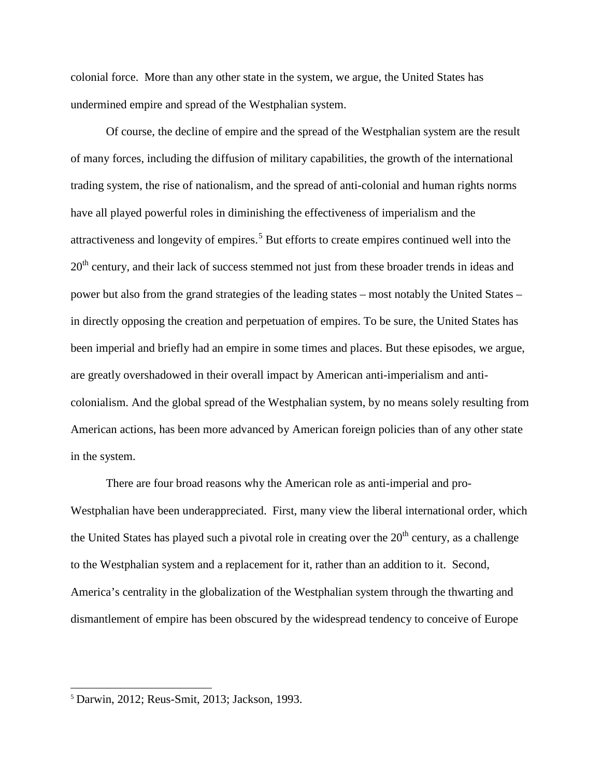colonial force. More than any other state in the system, we argue, the United States has undermined empire and spread of the Westphalian system.

Of course, the decline of empire and the spread of the Westphalian system are the result of many forces, including the diffusion of military capabilities, the growth of the international trading system, the rise of nationalism, and the spread of anti-colonial and human rights norms have all played powerful roles in diminishing the effectiveness of imperialism and the attractiveness and longevity of empires.<sup>[5](#page-4-0)</sup> But efforts to create empires continued well into the 20<sup>th</sup> century, and their lack of success stemmed not just from these broader trends in ideas and power but also from the grand strategies of the leading states – most notably the United States – in directly opposing the creation and perpetuation of empires. To be sure, the United States has been imperial and briefly had an empire in some times and places. But these episodes, we argue, are greatly overshadowed in their overall impact by American anti-imperialism and anticolonialism. And the global spread of the Westphalian system, by no means solely resulting from American actions, has been more advanced by American foreign policies than of any other state in the system.

There are four broad reasons why the American role as anti-imperial and pro-Westphalian have been underappreciated. First, many view the liberal international order, which the United States has played such a pivotal role in creating over the  $20<sup>th</sup>$  century, as a challenge to the Westphalian system and a replacement for it, rather than an addition to it. Second, America's centrality in the globalization of the Westphalian system through the thwarting and dismantlement of empire has been obscured by the widespread tendency to conceive of Europe

<span id="page-4-0"></span> <sup>5</sup> Darwin, 2012; Reus-Smit, 2013; Jackson, 1993.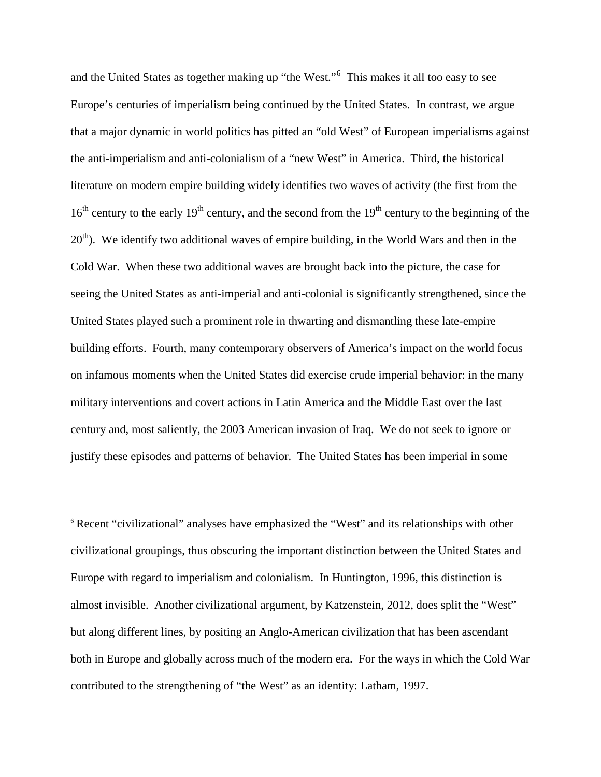and the United States as together making up "the West."<sup>[6](#page-5-0)</sup> This makes it all too easy to see Europe's centuries of imperialism being continued by the United States. In contrast, we argue that a major dynamic in world politics has pitted an "old West" of European imperialisms against the anti-imperialism and anti-colonialism of a "new West" in America. Third, the historical literature on modern empire building widely identifies two waves of activity (the first from the  $16<sup>th</sup>$  century to the early  $19<sup>th</sup>$  century, and the second from the  $19<sup>th</sup>$  century to the beginning of the  $20<sup>th</sup>$ ). We identify two additional waves of empire building, in the World Wars and then in the Cold War. When these two additional waves are brought back into the picture, the case for seeing the United States as anti-imperial and anti-colonial is significantly strengthened, since the United States played such a prominent role in thwarting and dismantling these late-empire building efforts. Fourth, many contemporary observers of America's impact on the world focus on infamous moments when the United States did exercise crude imperial behavior: in the many military interventions and covert actions in Latin America and the Middle East over the last century and, most saliently, the 2003 American invasion of Iraq. We do not seek to ignore or justify these episodes and patterns of behavior. The United States has been imperial in some

<span id="page-5-0"></span><sup>6</sup> Recent "civilizational" analyses have emphasized the "West" and its relationships with other civilizational groupings, thus obscuring the important distinction between the United States and Europe with regard to imperialism and colonialism. In Huntington, 1996, this distinction is almost invisible. Another civilizational argument, by Katzenstein, 2012, does split the "West" but along different lines, by positing an Anglo-American civilization that has been ascendant both in Europe and globally across much of the modern era. For the ways in which the Cold War contributed to the strengthening of "the West" as an identity: Latham, 1997.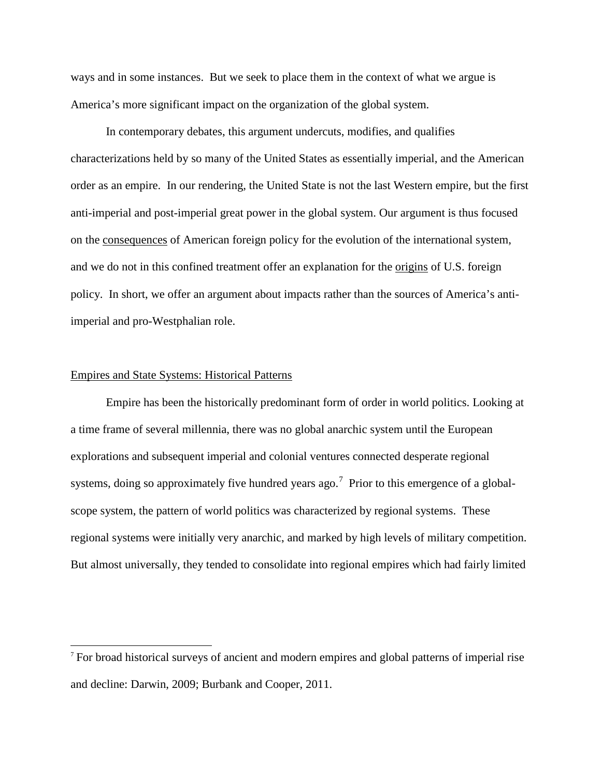ways and in some instances. But we seek to place them in the context of what we argue is America's more significant impact on the organization of the global system.

In contemporary debates, this argument undercuts, modifies, and qualifies characterizations held by so many of the United States as essentially imperial, and the American order as an empire. In our rendering, the United State is not the last Western empire, but the first anti-imperial and post-imperial great power in the global system. Our argument is thus focused on the consequences of American foreign policy for the evolution of the international system, and we do not in this confined treatment offer an explanation for the <u>origins</u> of U.S. foreign policy. In short, we offer an argument about impacts rather than the sources of America's antiimperial and pro-Westphalian role.

## Empires and State Systems: Historical Patterns

Empire has been the historically predominant form of order in world politics. Looking at a time frame of several millennia, there was no global anarchic system until the European explorations and subsequent imperial and colonial ventures connected desperate regional systems, doing so approximately five hundred years ago.<sup>[7](#page-6-0)</sup> Prior to this emergence of a globalscope system, the pattern of world politics was characterized by regional systems. These regional systems were initially very anarchic, and marked by high levels of military competition. But almost universally, they tended to consolidate into regional empires which had fairly limited

<span id="page-6-0"></span><sup>&</sup>lt;sup>7</sup> For broad historical surveys of ancient and modern empires and global patterns of imperial rise and decline: Darwin, 2009; Burbank and Cooper, 2011.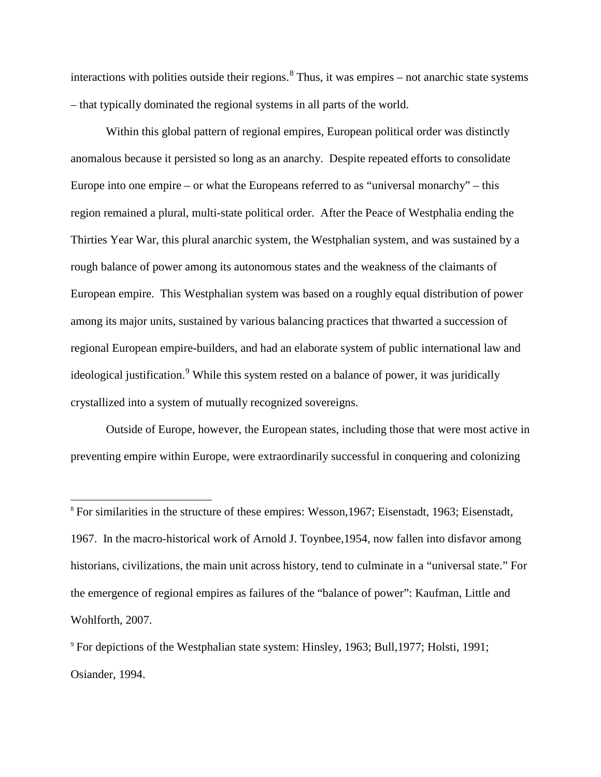interactions with polities outside their regions.<sup>[8](#page-7-0)</sup> Thus, it was empires – not anarchic state systems – that typically dominated the regional systems in all parts of the world.

Within this global pattern of regional empires, European political order was distinctly anomalous because it persisted so long as an anarchy. Despite repeated efforts to consolidate Europe into one empire – or what the Europeans referred to as "universal monarchy" – this region remained a plural, multi-state political order. After the Peace of Westphalia ending the Thirties Year War, this plural anarchic system, the Westphalian system, and was sustained by a rough balance of power among its autonomous states and the weakness of the claimants of European empire. This Westphalian system was based on a roughly equal distribution of power among its major units, sustained by various balancing practices that thwarted a succession of regional European empire-builders, and had an elaborate system of public international law and ideological justification.<sup>[9](#page-7-1)</sup> While this system rested on a balance of power, it was juridically crystallized into a system of mutually recognized sovereigns.

Outside of Europe, however, the European states, including those that were most active in preventing empire within Europe, were extraordinarily successful in conquering and colonizing

<span id="page-7-0"></span> 8 For similarities in the structure of these empires: Wesson,1967; Eisenstadt, 1963; Eisenstadt, 1967. In the macro-historical work of Arnold J. Toynbee,1954, now fallen into disfavor among historians, civilizations, the main unit across history, tend to culminate in a "universal state." For the emergence of regional empires as failures of the "balance of power": Kaufman, Little and Wohlforth, 2007.

<span id="page-7-1"></span><sup>9</sup> For depictions of the Westphalian state system: Hinsley, 1963; Bull,1977; Holsti, 1991; Osiander, 1994.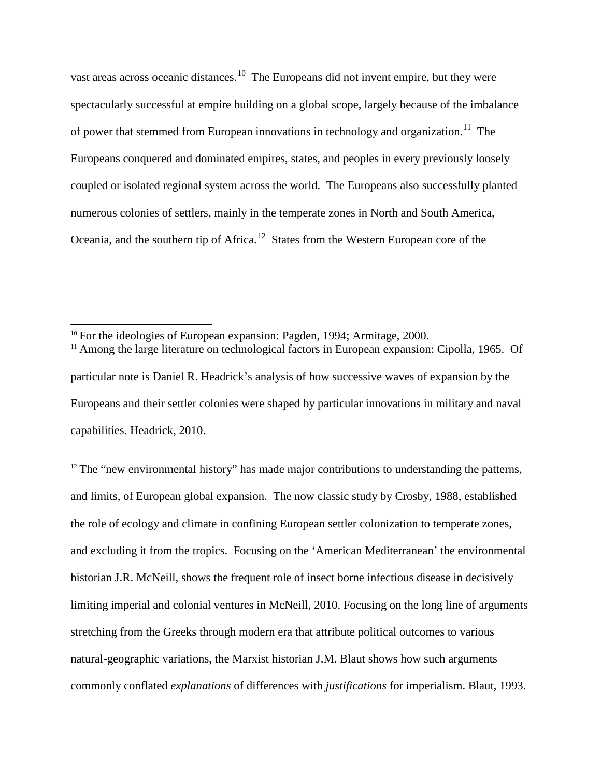vast areas across oceanic distances.<sup>[10](#page-8-0)</sup> The Europeans did not invent empire, but they were spectacularly successful at empire building on a global scope, largely because of the imbalance of power that stemmed from European innovations in technology and organization.<sup>[11](#page-8-1)</sup> The Europeans conquered and dominated empires, states, and peoples in every previously loosely coupled or isolated regional system across the world. The Europeans also successfully planted numerous colonies of settlers, mainly in the temperate zones in North and South America, Oceania, and the southern tip of Africa.<sup>12</sup> States from the Western European core of the

<span id="page-8-1"></span><sup>11</sup> Among the large literature on technological factors in European expansion: Cipolla, 1965. Of

<span id="page-8-2"></span> $12$  The "new environmental history" has made major contributions to understanding the patterns, and limits, of European global expansion. The now classic study by Crosby, 1988, established the role of ecology and climate in confining European settler colonization to temperate zones, and excluding it from the tropics. Focusing on the 'American Mediterranean' the environmental historian J.R. McNeill, shows the frequent role of insect borne infectious disease in decisively limiting imperial and colonial ventures in McNeill, 2010. Focusing on the long line of arguments stretching from the Greeks through modern era that attribute political outcomes to various natural-geographic variations, the Marxist historian J.M. Blaut shows how such arguments commonly conflated *explanations* of differences with *justifications* for imperialism. Blaut, 1993.

<span id="page-8-0"></span><sup>&</sup>lt;sup>10</sup> For the ideologies of European expansion: Pagden, 1994; Armitage, 2000.

particular note is Daniel R. Headrick's analysis of how successive waves of expansion by the Europeans and their settler colonies were shaped by particular innovations in military and naval capabilities. Headrick, 2010.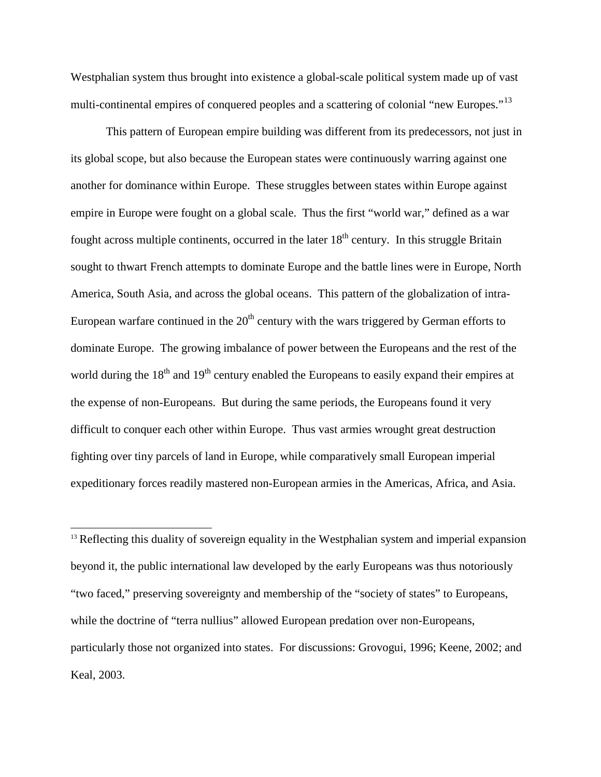Westphalian system thus brought into existence a global-scale political system made up of vast multi-continental empires of conquered peoples and a scattering of colonial "new Europes."<sup>[13](#page-9-0)</sup>

This pattern of European empire building was different from its predecessors, not just in its global scope, but also because the European states were continuously warring against one another for dominance within Europe. These struggles between states within Europe against empire in Europe were fought on a global scale. Thus the first "world war," defined as a war fought across multiple continents, occurred in the later  $18<sup>th</sup>$  century. In this struggle Britain sought to thwart French attempts to dominate Europe and the battle lines were in Europe, North America, South Asia, and across the global oceans. This pattern of the globalization of intra-European warfare continued in the  $20<sup>th</sup>$  century with the wars triggered by German efforts to dominate Europe. The growing imbalance of power between the Europeans and the rest of the world during the 18<sup>th</sup> and 19<sup>th</sup> century enabled the Europeans to easily expand their empires at the expense of non-Europeans. But during the same periods, the Europeans found it very difficult to conquer each other within Europe. Thus vast armies wrought great destruction fighting over tiny parcels of land in Europe, while comparatively small European imperial expeditionary forces readily mastered non-European armies in the Americas, Africa, and Asia.

<span id="page-9-0"></span> $<sup>13</sup>$  Reflecting this duality of sovereign equality in the Westphalian system and imperial expansion</sup> beyond it, the public international law developed by the early Europeans was thus notoriously "two faced," preserving sovereignty and membership of the "society of states" to Europeans, while the doctrine of "terra nullius" allowed European predation over non-Europeans, particularly those not organized into states. For discussions: Grovogui, 1996; Keene, 2002; and Keal, 2003.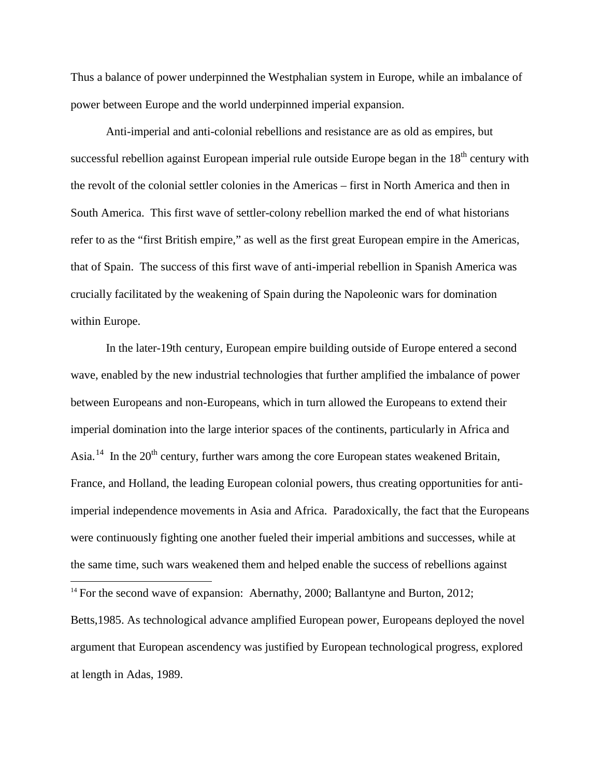Thus a balance of power underpinned the Westphalian system in Europe, while an imbalance of power between Europe and the world underpinned imperial expansion.

Anti-imperial and anti-colonial rebellions and resistance are as old as empires, but successful rebellion against European imperial rule outside Europe began in the  $18<sup>th</sup>$  century with the revolt of the colonial settler colonies in the Americas – first in North America and then in South America. This first wave of settler-colony rebellion marked the end of what historians refer to as the "first British empire," as well as the first great European empire in the Americas, that of Spain. The success of this first wave of anti-imperial rebellion in Spanish America was crucially facilitated by the weakening of Spain during the Napoleonic wars for domination within Europe.

In the later-19th century, European empire building outside of Europe entered a second wave, enabled by the new industrial technologies that further amplified the imbalance of power between Europeans and non-Europeans, which in turn allowed the Europeans to extend their imperial domination into the large interior spaces of the continents, particularly in Africa and Asia.<sup>14</sup> In the  $20<sup>th</sup>$  century, further wars among the core European states weakened Britain, France, and Holland, the leading European colonial powers, thus creating opportunities for antiimperial independence movements in Asia and Africa. Paradoxically, the fact that the Europeans were continuously fighting one another fueled their imperial ambitions and successes, while at the same time, such wars weakened them and helped enable the success of rebellions against

<span id="page-10-0"></span> $14$  For the second wave of expansion: Abernathy, 2000; Ballantyne and Burton, 2012; Betts,1985. As technological advance amplified European power, Europeans deployed the novel argument that European ascendency was justified by European technological progress, explored at length in Adas, 1989.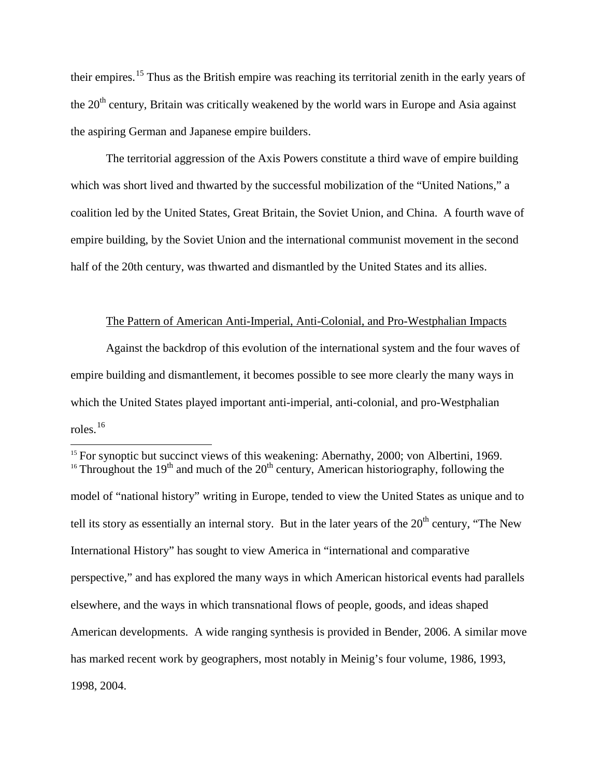their empires.[15](#page-11-0) Thus as the British empire was reaching its territorial zenith in the early years of the  $20<sup>th</sup>$  century, Britain was critically weakened by the world wars in Europe and Asia against the aspiring German and Japanese empire builders.

The territorial aggression of the Axis Powers constitute a third wave of empire building which was short lived and thwarted by the successful mobilization of the "United Nations," a coalition led by the United States, Great Britain, the Soviet Union, and China. A fourth wave of empire building, by the Soviet Union and the international communist movement in the second half of the 20th century, was thwarted and dismantled by the United States and its allies.

# The Pattern of American Anti-Imperial, Anti-Colonial, and Pro-Westphalian Impacts

Against the backdrop of this evolution of the international system and the four waves of empire building and dismantlement, it becomes possible to see more clearly the many ways in which the United States played important anti-imperial, anti-colonial, and pro-Westphalian roles. [16](#page-11-1)

<span id="page-11-0"></span><sup>&</sup>lt;sup>15</sup> For synoptic but succinct views of this weakening: Abernathy, 2000; von Albertini, 1969. <sup>16</sup> Throughout the 19<sup>th</sup> and much of the 20<sup>th</sup> century, American historiography, following the

<span id="page-11-1"></span>model of "national history" writing in Europe, tended to view the United States as unique and to tell its story as essentially an internal story. But in the later years of the  $20<sup>th</sup>$  century, "The New International History" has sought to view America in "international and comparative perspective," and has explored the many ways in which American historical events had parallels elsewhere, and the ways in which transnational flows of people, goods, and ideas shaped American developments. A wide ranging synthesis is provided in Bender, 2006. A similar move has marked recent work by geographers, most notably in Meinig's four volume, 1986, 1993, 1998, 2004.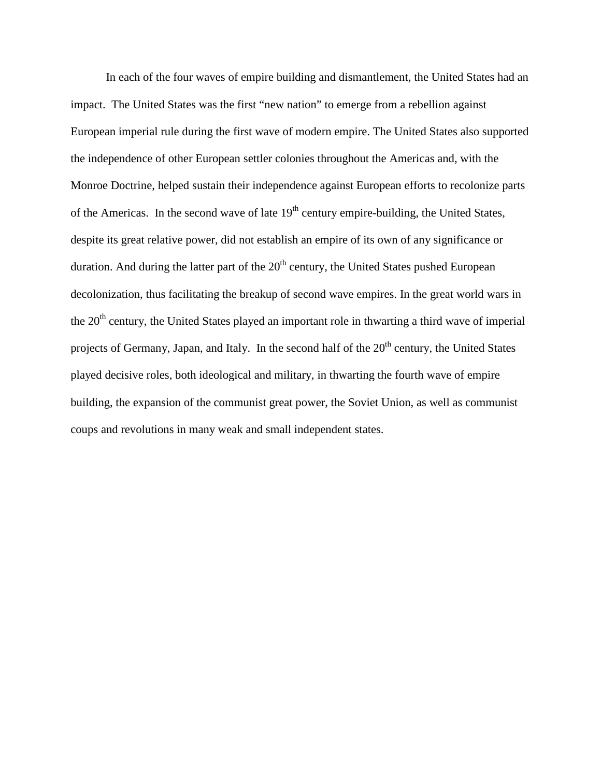In each of the four waves of empire building and dismantlement, the United States had an impact. The United States was the first "new nation" to emerge from a rebellion against European imperial rule during the first wave of modern empire. The United States also supported the independence of other European settler colonies throughout the Americas and, with the Monroe Doctrine, helped sustain their independence against European efforts to recolonize parts of the Americas. In the second wave of late  $19<sup>th</sup>$  century empire-building, the United States, despite its great relative power, did not establish an empire of its own of any significance or duration. And during the latter part of the  $20<sup>th</sup>$  century, the United States pushed European decolonization, thus facilitating the breakup of second wave empires. In the great world wars in the  $20<sup>th</sup>$  century, the United States played an important role in thwarting a third wave of imperial projects of Germany, Japan, and Italy. In the second half of the 20<sup>th</sup> century, the United States played decisive roles, both ideological and military, in thwarting the fourth wave of empire building, the expansion of the communist great power, the Soviet Union, as well as communist coups and revolutions in many weak and small independent states.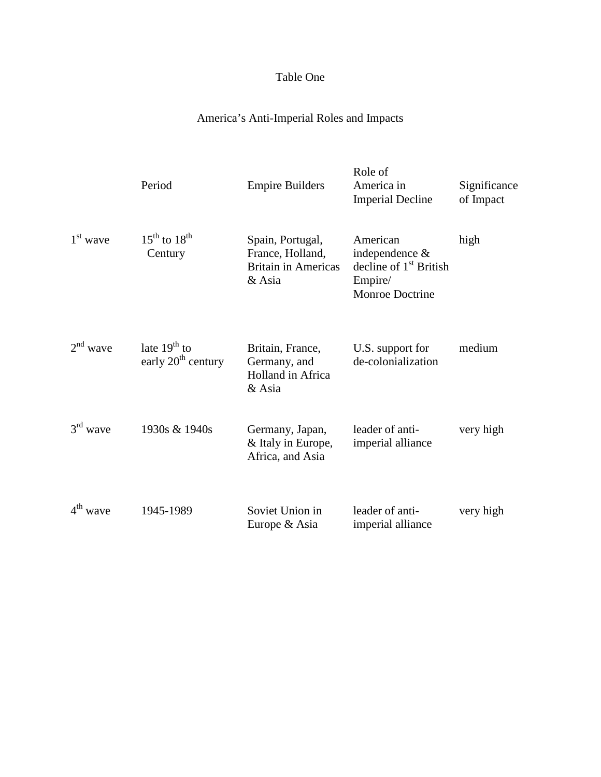# Table One

# America's Anti-Imperial Roles and Impacts

|            | Period                                           | <b>Empire Builders</b>                                                       | Role of<br>America in<br><b>Imperial Decline</b>                                            | Significance<br>of Impact |
|------------|--------------------------------------------------|------------------------------------------------------------------------------|---------------------------------------------------------------------------------------------|---------------------------|
| $1st$ wave | $15^{\text{th}}$ to $18^{\text{th}}$<br>Century  | Spain, Portugal,<br>France, Holland,<br><b>Britain in Americas</b><br>& Asia | American<br>independence &<br>decline of $1st$ British<br>Empire/<br><b>Monroe Doctrine</b> | high                      |
| $2nd$ wave | late $19th$ to<br>early 20 <sup>th</sup> century | Britain, France,<br>Germany, and<br><b>Holland</b> in Africa<br>& Asia       | U.S. support for<br>de-colonialization                                                      | medium                    |
| $3rd$ wave | 1930s & 1940s                                    | Germany, Japan,<br>& Italy in Europe,<br>Africa, and Asia                    | leader of anti-<br>imperial alliance                                                        | very high                 |
| $4th$ wave | 1945-1989                                        | Soviet Union in<br>Europe & Asia                                             | leader of anti-<br>imperial alliance                                                        | very high                 |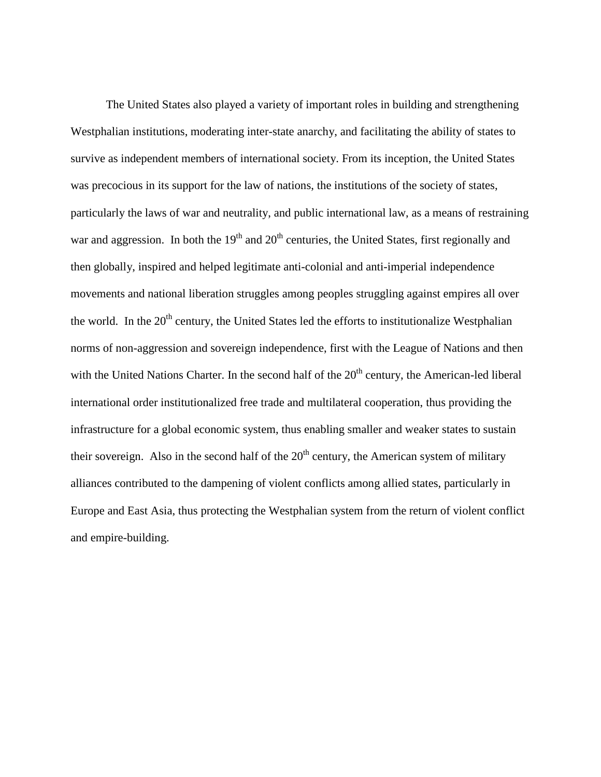The United States also played a variety of important roles in building and strengthening Westphalian institutions, moderating inter-state anarchy, and facilitating the ability of states to survive as independent members of international society. From its inception, the United States was precocious in its support for the law of nations, the institutions of the society of states, particularly the laws of war and neutrality, and public international law, as a means of restraining war and aggression. In both the  $19<sup>th</sup>$  and  $20<sup>th</sup>$  centuries, the United States, first regionally and then globally, inspired and helped legitimate anti-colonial and anti-imperial independence movements and national liberation struggles among peoples struggling against empires all over the world. In the  $20<sup>th</sup>$  century, the United States led the efforts to institutionalize Westphalian norms of non-aggression and sovereign independence, first with the League of Nations and then with the United Nations Charter. In the second half of the  $20<sup>th</sup>$  century, the American-led liberal international order institutionalized free trade and multilateral cooperation, thus providing the infrastructure for a global economic system, thus enabling smaller and weaker states to sustain their sovereign. Also in the second half of the  $20<sup>th</sup>$  century, the American system of military alliances contributed to the dampening of violent conflicts among allied states, particularly in Europe and East Asia, thus protecting the Westphalian system from the return of violent conflict and empire-building.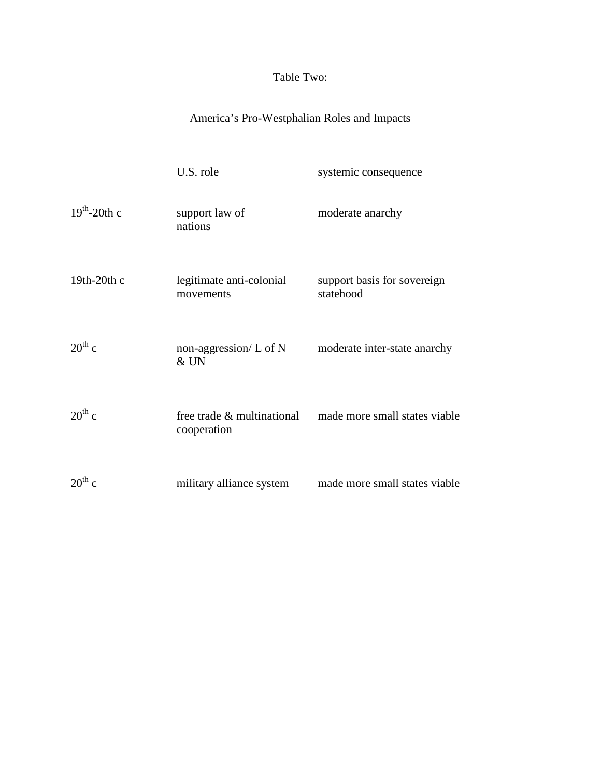# Table Two:

# America's Pro-Westphalian Roles and Impacts

|                | U.S. role                                 | systemic consequence                     |
|----------------|-------------------------------------------|------------------------------------------|
| $19th$ -20th c | support law of<br>nations                 | moderate anarchy                         |
| 19th-20th $c$  | legitimate anti-colonial<br>movements     | support basis for sovereign<br>statehood |
| $20^{th}$ c    | non-aggression/ $L$ of N<br>& UN          | moderate inter-state anarchy             |
| $20^{th}$ c    | free trade & multinational<br>cooperation | made more small states viable            |
| $20^{th}$ c    | military alliance system                  | made more small states viable            |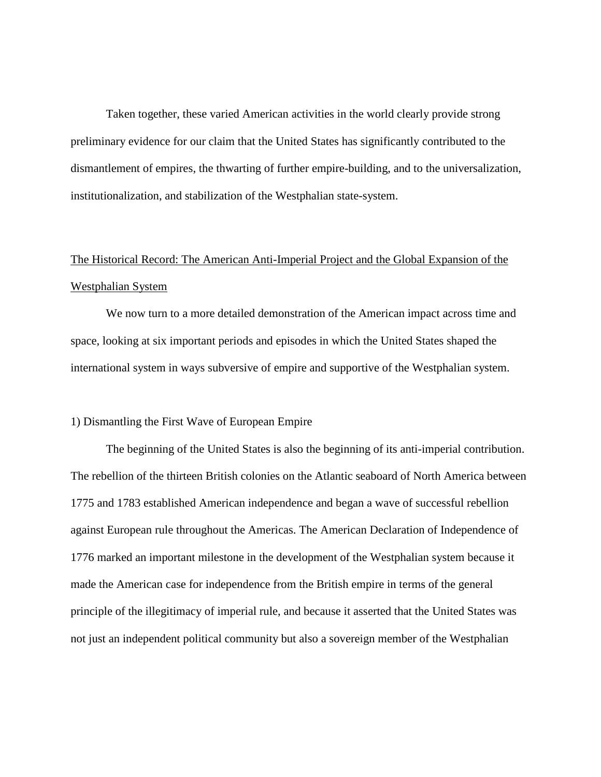Taken together, these varied American activities in the world clearly provide strong preliminary evidence for our claim that the United States has significantly contributed to the dismantlement of empires, the thwarting of further empire-building, and to the universalization, institutionalization, and stabilization of the Westphalian state-system.

# The Historical Record: The American Anti-Imperial Project and the Global Expansion of the Westphalian System

We now turn to a more detailed demonstration of the American impact across time and space, looking at six important periods and episodes in which the United States shaped the international system in ways subversive of empire and supportive of the Westphalian system.

# 1) Dismantling the First Wave of European Empire

The beginning of the United States is also the beginning of its anti-imperial contribution. The rebellion of the thirteen British colonies on the Atlantic seaboard of North America between 1775 and 1783 established American independence and began a wave of successful rebellion against European rule throughout the Americas. The American Declaration of Independence of 1776 marked an important milestone in the development of the Westphalian system because it made the American case for independence from the British empire in terms of the general principle of the illegitimacy of imperial rule, and because it asserted that the United States was not just an independent political community but also a sovereign member of the Westphalian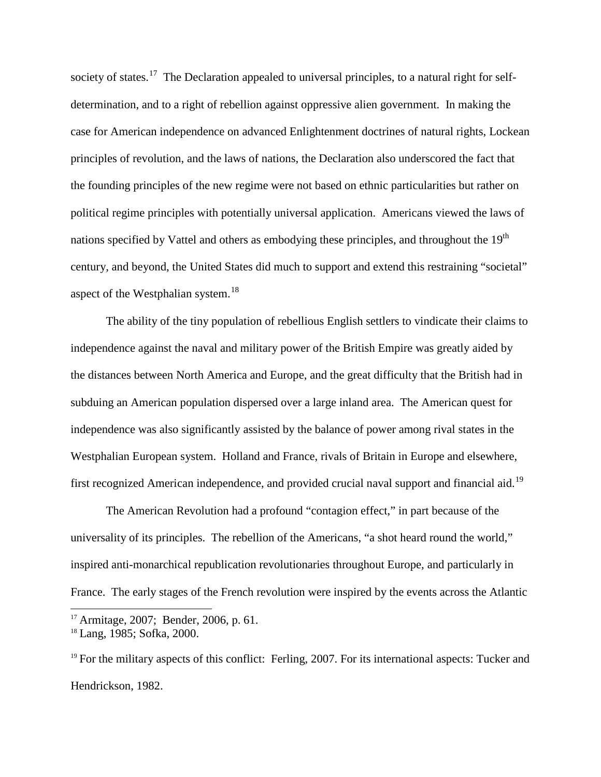society of states.<sup>[17](#page-17-0)</sup> The Declaration appealed to universal principles, to a natural right for selfdetermination, and to a right of rebellion against oppressive alien government. In making the case for American independence on advanced Enlightenment doctrines of natural rights, Lockean principles of revolution, and the laws of nations, the Declaration also underscored the fact that the founding principles of the new regime were not based on ethnic particularities but rather on political regime principles with potentially universal application. Americans viewed the laws of nations specified by Vattel and others as embodying these principles, and throughout the  $19<sup>th</sup>$ century, and beyond, the United States did much to support and extend this restraining "societal" aspect of the Westphalian system. $18$ 

The ability of the tiny population of rebellious English settlers to vindicate their claims to independence against the naval and military power of the British Empire was greatly aided by the distances between North America and Europe, and the great difficulty that the British had in subduing an American population dispersed over a large inland area. The American quest for independence was also significantly assisted by the balance of power among rival states in the Westphalian European system. Holland and France, rivals of Britain in Europe and elsewhere, first recognized American independence, and provided crucial naval support and financial aid.<sup>[19](#page-17-2)</sup>

The American Revolution had a profound "contagion effect," in part because of the universality of its principles. The rebellion of the Americans, "a shot heard round the world," inspired anti-monarchical republication revolutionaries throughout Europe, and particularly in France. The early stages of the French revolution were inspired by the events across the Atlantic

<span id="page-17-0"></span> <sup>17</sup> Armitage, 2007; Bender, 2006, p. 61.

<span id="page-17-1"></span><sup>18</sup> Lang, 1985; Sofka, 2000.

<span id="page-17-2"></span> $19$  For the military aspects of this conflict: Ferling, 2007. For its international aspects: Tucker and Hendrickson, 1982.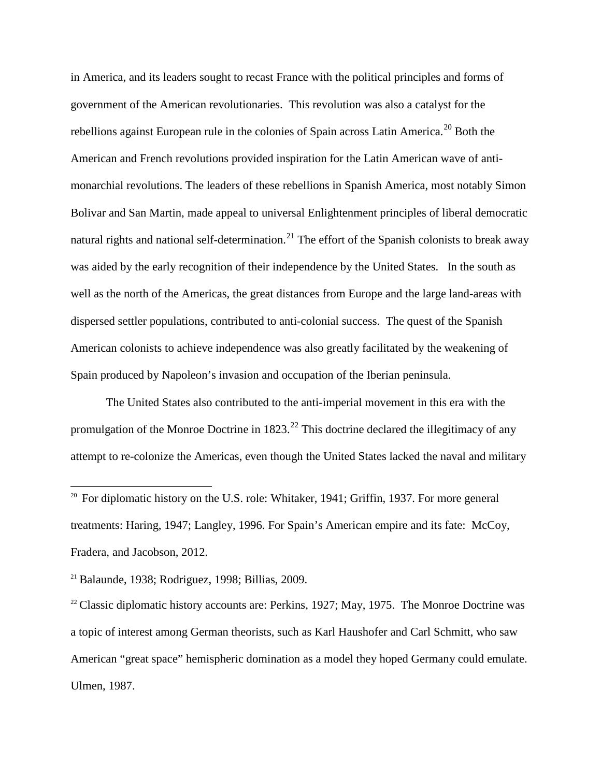in America, and its leaders sought to recast France with the political principles and forms of government of the American revolutionaries. This revolution was also a catalyst for the rebellions against European rule in the colonies of Spain across Latin America.<sup>[20](#page-18-0)</sup> Both the American and French revolutions provided inspiration for the Latin American wave of antimonarchial revolutions. The leaders of these rebellions in Spanish America, most notably Simon Bolivar and San Martin, made appeal to universal Enlightenment principles of liberal democratic natural rights and national self-determination.<sup>[21](#page-18-1)</sup> The effort of the Spanish colonists to break away was aided by the early recognition of their independence by the United States. In the south as well as the north of the Americas, the great distances from Europe and the large land-areas with dispersed settler populations, contributed to anti-colonial success. The quest of the Spanish American colonists to achieve independence was also greatly facilitated by the weakening of Spain produced by Napoleon's invasion and occupation of the Iberian peninsula.

The United States also contributed to the anti-imperial movement in this era with the promulgation of the Monroe Doctrine in  $1823.<sup>22</sup>$  $1823.<sup>22</sup>$  $1823.<sup>22</sup>$  This doctrine declared the illegitimacy of any attempt to re-colonize the Americas, even though the United States lacked the naval and military

<span id="page-18-0"></span><sup>&</sup>lt;sup>20</sup> For diplomatic history on the U.S. role: Whitaker, 1941; Griffin, 1937. For more general treatments: Haring, 1947; Langley, 1996. For Spain's American empire and its fate: McCoy, Fradera, and Jacobson, 2012.

<span id="page-18-1"></span> $21$  Balaunde, 1938; Rodriguez, 1998; Billias, 2009.

<span id="page-18-2"></span><sup>&</sup>lt;sup>22</sup> Classic diplomatic history accounts are: Perkins, 1927; May, 1975. The Monroe Doctrine was a topic of interest among German theorists, such as Karl Haushofer and Carl Schmitt, who saw American "great space" hemispheric domination as a model they hoped Germany could emulate. Ulmen, 1987.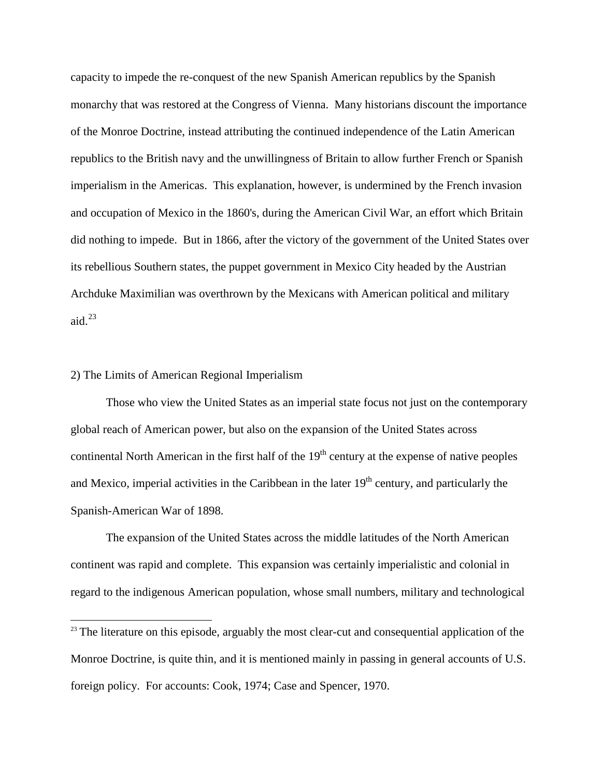capacity to impede the re-conquest of the new Spanish American republics by the Spanish monarchy that was restored at the Congress of Vienna. Many historians discount the importance of the Monroe Doctrine, instead attributing the continued independence of the Latin American republics to the British navy and the unwillingness of Britain to allow further French or Spanish imperialism in the Americas. This explanation, however, is undermined by the French invasion and occupation of Mexico in the 1860's, during the American Civil War, an effort which Britain did nothing to impede. But in 1866, after the victory of the government of the United States over its rebellious Southern states, the puppet government in Mexico City headed by the Austrian Archduke Maximilian was overthrown by the Mexicans with American political and military aid. $^{23}$  $^{23}$  $^{23}$ 

# 2) The Limits of American Regional Imperialism

Those who view the United States as an imperial state focus not just on the contemporary global reach of American power, but also on the expansion of the United States across continental North American in the first half of the  $19<sup>th</sup>$  century at the expense of native peoples and Mexico, imperial activities in the Caribbean in the later  $19<sup>th</sup>$  century, and particularly the Spanish-American War of 1898.

The expansion of the United States across the middle latitudes of the North American continent was rapid and complete. This expansion was certainly imperialistic and colonial in regard to the indigenous American population, whose small numbers, military and technological

<span id="page-19-0"></span><sup>&</sup>lt;sup>23</sup> The literature on this episode, arguably the most clear-cut and consequential application of the Monroe Doctrine, is quite thin, and it is mentioned mainly in passing in general accounts of U.S. foreign policy. For accounts: Cook, 1974; Case and Spencer, 1970.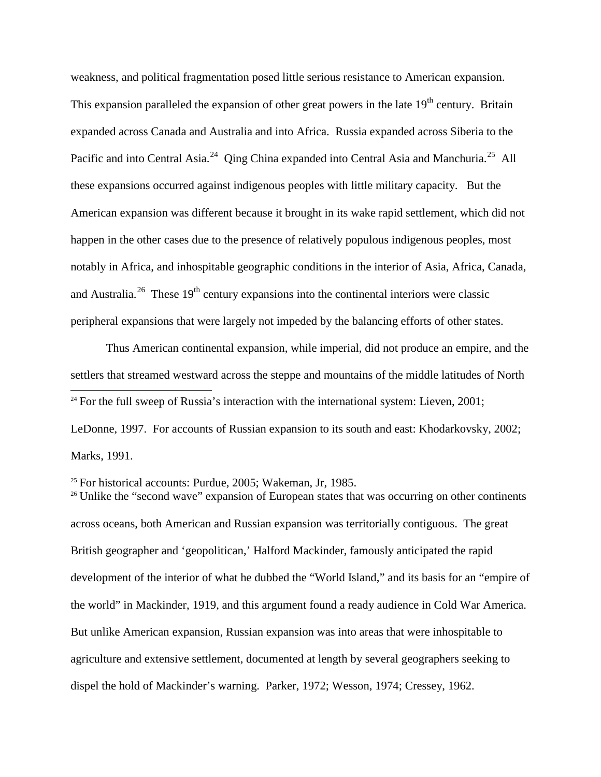weakness, and political fragmentation posed little serious resistance to American expansion. This expansion paralleled the expansion of other great powers in the late  $19<sup>th</sup>$  century. Britain expanded across Canada and Australia and into Africa. Russia expanded across Siberia to the Pacific and into Central Asia.<sup>[24](#page-20-0)</sup> Oing China expanded into Central Asia and Manchuria.<sup>25</sup> All these expansions occurred against indigenous peoples with little military capacity. But the American expansion was different because it brought in its wake rapid settlement, which did not happen in the other cases due to the presence of relatively populous indigenous peoples, most notably in Africa, and inhospitable geographic conditions in the interior of Asia, Africa, Canada, and Australia.<sup>26</sup> These  $19<sup>th</sup>$  century expansions into the continental interiors were classic peripheral expansions that were largely not impeded by the balancing efforts of other states.

Thus American continental expansion, while imperial, did not produce an empire, and the settlers that streamed westward across the steppe and mountains of the middle latitudes of North

<span id="page-20-0"></span> $24$  For the full sweep of Russia's interaction with the international system: Lieven, 2001;

LeDonne, 1997. For accounts of Russian expansion to its south and east: Khodarkovsky, 2002; Marks, 1991.

<span id="page-20-1"></span> $25$  For historical accounts: Purdue, 2005; Wakeman, Jr, 1985.

<span id="page-20-2"></span><sup>26</sup> Unlike the "second wave" expansion of European states that was occurring on other continents across oceans, both American and Russian expansion was territorially contiguous. The great British geographer and 'geopolitican,' Halford Mackinder, famously anticipated the rapid development of the interior of what he dubbed the "World Island," and its basis for an "empire of the world" in Mackinder, 1919, and this argument found a ready audience in Cold War America. But unlike American expansion, Russian expansion was into areas that were inhospitable to agriculture and extensive settlement, documented at length by several geographers seeking to dispel the hold of Mackinder's warning. Parker, 1972; Wesson, 1974; Cressey, 1962.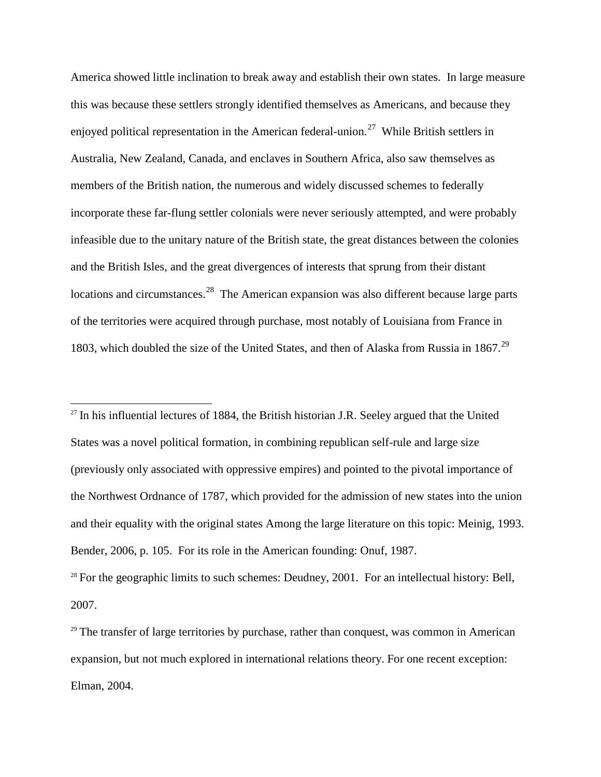America showed little inclination to break away and establish their own states. In large measure this was because these settlers strongly identified themselves as Americans, and because they enjoyed political representation in the American federal-union.<sup>27</sup> While British settlers in Australia, New Zealand, Canada, and enclaves in Southern Africa, also saw themselves as members of the British nation, the numerous and widely discussed schemes to federally incorporate these far-flung settler colonials were never seriously attempted, and were probably infeasible due to the unitary nature of the British state, the great distances between the colonies and the British Isles, and the great divergences of interests that sprung from their distant locations and circumstances.<sup>[28](#page-21-1)</sup> The American expansion was also different because large parts of the territories were acquired through purchase, most notably of Louisiana from France in 1803, which doubled the size of the United States, and then of Alaska from Russia in 1867.<sup>[29](#page-21-2)</sup>

<span id="page-21-0"></span> $27$  In his influential lectures of 1884, the British historian J.R. Seeley argued that the United States was a novel political formation, in combining republican self-rule and large size (previously only associated with oppressive empires) and pointed to the pivotal importance of the Northwest Ordnance of 1787, which provided for the admission of new states into the union and their equality with the original states Among the large literature on this topic: Meinig, 1993. Bender, 2006, p. 105. For its role in the American founding: Onuf, 1987.

<span id="page-21-1"></span> $28$  For the geographic limits to such schemes: Deudney, 2001. For an intellectual history: Bell, 2007.

<span id="page-21-2"></span> $29$  The transfer of large territories by purchase, rather than conquest, was common in American expansion, but not much explored in international relations theory. For one recent exception: Elman, 2004.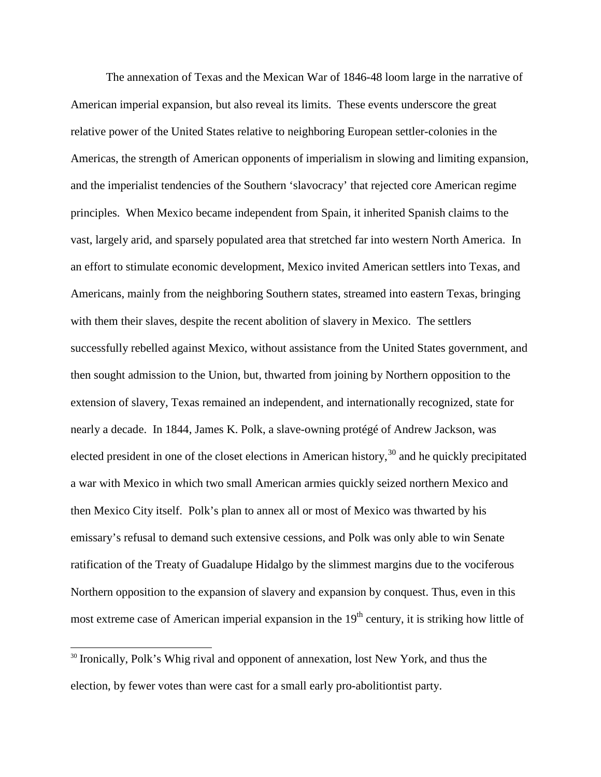The annexation of Texas and the Mexican War of 1846-48 loom large in the narrative of American imperial expansion, but also reveal its limits. These events underscore the great relative power of the United States relative to neighboring European settler-colonies in the Americas, the strength of American opponents of imperialism in slowing and limiting expansion, and the imperialist tendencies of the Southern 'slavocracy' that rejected core American regime principles. When Mexico became independent from Spain, it inherited Spanish claims to the vast, largely arid, and sparsely populated area that stretched far into western North America. In an effort to stimulate economic development, Mexico invited American settlers into Texas, and Americans, mainly from the neighboring Southern states, streamed into eastern Texas, bringing with them their slaves, despite the recent abolition of slavery in Mexico. The settlers successfully rebelled against Mexico, without assistance from the United States government, and then sought admission to the Union, but, thwarted from joining by Northern opposition to the extension of slavery, Texas remained an independent, and internationally recognized, state for nearly a decade. In 1844, James K. Polk, a slave-owning protégé of Andrew Jackson, was elected president in one of the closet elections in American history,  $30$  and he quickly precipitated a war with Mexico in which two small American armies quickly seized northern Mexico and then Mexico City itself. Polk's plan to annex all or most of Mexico was thwarted by his emissary's refusal to demand such extensive cessions, and Polk was only able to win Senate ratification of the Treaty of Guadalupe Hidalgo by the slimmest margins due to the vociferous Northern opposition to the expansion of slavery and expansion by conquest. Thus, even in this most extreme case of American imperial expansion in the  $19<sup>th</sup>$  century, it is striking how little of

<span id="page-22-0"></span><sup>&</sup>lt;sup>30</sup> Ironically, Polk's Whig rival and opponent of annexation, lost New York, and thus the election, by fewer votes than were cast for a small early pro-abolitiontist party.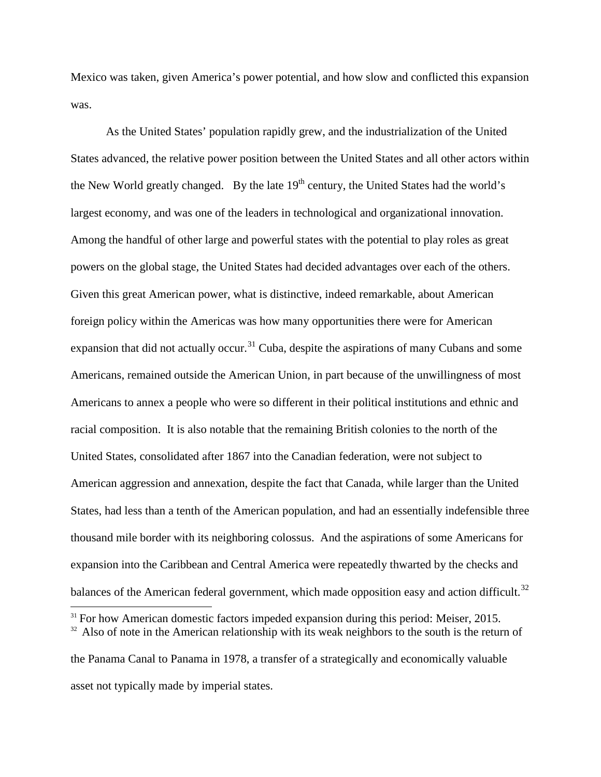Mexico was taken, given America's power potential, and how slow and conflicted this expansion was.

As the United States' population rapidly grew, and the industrialization of the United States advanced, the relative power position between the United States and all other actors within the New World greatly changed. By the late  $19<sup>th</sup>$  century, the United States had the world's largest economy, and was one of the leaders in technological and organizational innovation. Among the handful of other large and powerful states with the potential to play roles as great powers on the global stage, the United States had decided advantages over each of the others. Given this great American power, what is distinctive, indeed remarkable, about American foreign policy within the Americas was how many opportunities there were for American expansion that did not actually occur.<sup>[31](#page-23-0)</sup> Cuba, despite the aspirations of many Cubans and some Americans, remained outside the American Union, in part because of the unwillingness of most Americans to annex a people who were so different in their political institutions and ethnic and racial composition. It is also notable that the remaining British colonies to the north of the United States, consolidated after 1867 into the Canadian federation, were not subject to American aggression and annexation, despite the fact that Canada, while larger than the United States, had less than a tenth of the American population, and had an essentially indefensible three thousand mile border with its neighboring colossus. And the aspirations of some Americans for expansion into the Caribbean and Central America were repeatedly thwarted by the checks and balances of the American federal government, which made opposition easy and action difficult.<sup>[32](#page-23-1)</sup>

<span id="page-23-1"></span><span id="page-23-0"></span> $31$  For how American domestic factors impeded expansion during this period: Meiser, 2015.  $32$  Also of note in the American relationship with its weak neighbors to the south is the return of

the Panama Canal to Panama in 1978, a transfer of a strategically and economically valuable asset not typically made by imperial states.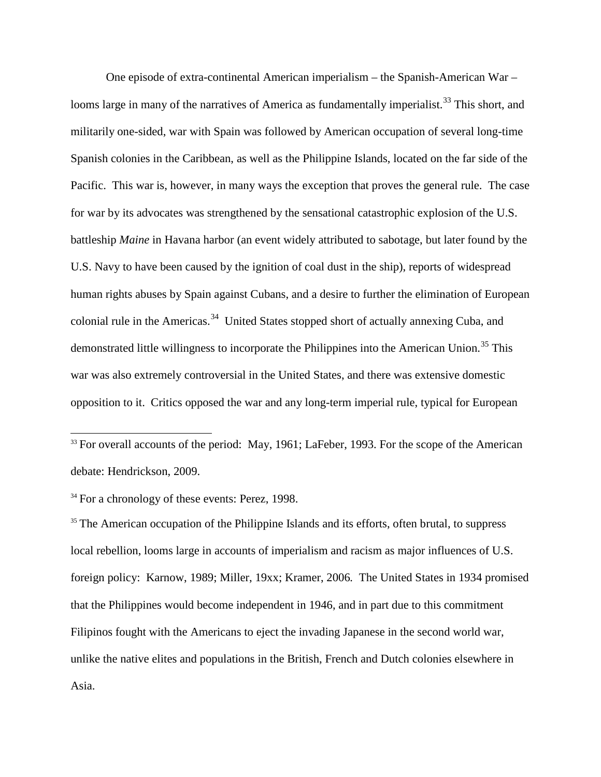One episode of extra-continental American imperialism – the Spanish-American War – looms large in many of the narratives of America as fundamentally imperialist.<sup>[33](#page-24-0)</sup> This short, and militarily one-sided, war with Spain was followed by American occupation of several long-time Spanish colonies in the Caribbean, as well as the Philippine Islands, located on the far side of the Pacific. This war is, however, in many ways the exception that proves the general rule. The case for war by its advocates was strengthened by the sensational catastrophic explosion of the U.S. battleship *Maine* in Havana harbor (an event widely attributed to sabotage, but later found by the U.S. Navy to have been caused by the ignition of coal dust in the ship), reports of widespread human rights abuses by Spain against Cubans, and a desire to further the elimination of European colonial rule in the Americas.<sup>34</sup> United States stopped short of actually annexing Cuba, and demonstrated little willingness to incorporate the Philippines into the American Union.<sup>[35](#page-24-2)</sup> This war was also extremely controversial in the United States, and there was extensive domestic opposition to it. Critics opposed the war and any long-term imperial rule, typical for European

<span id="page-24-0"></span> $33$  For overall accounts of the period: May, 1961; LaFeber, 1993. For the scope of the American debate: Hendrickson, 2009.

<span id="page-24-1"></span><sup>34</sup> For a chronology of these events: Perez, 1998.

<span id="page-24-2"></span><sup>35</sup> The American occupation of the Philippine Islands and its efforts, often brutal, to suppress local rebellion, looms large in accounts of imperialism and racism as major influences of U.S. foreign policy: Karnow, 1989; Miller, 19xx; Kramer, 2006*.* The United States in 1934 promised that the Philippines would become independent in 1946, and in part due to this commitment Filipinos fought with the Americans to eject the invading Japanese in the second world war, unlike the native elites and populations in the British, French and Dutch colonies elsewhere in Asia.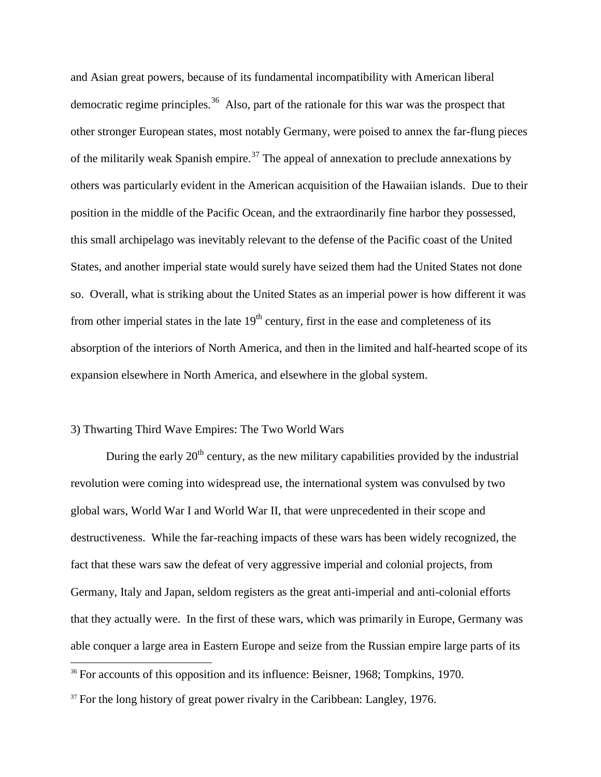and Asian great powers, because of its fundamental incompatibility with American liberal democratic regime principles.<sup>36</sup> Also, part of the rationale for this war was the prospect that other stronger European states, most notably Germany, were poised to annex the far-flung pieces of the militarily weak Spanish empire.<sup>[37](#page-25-1)</sup> The appeal of annexation to preclude annexations by others was particularly evident in the American acquisition of the Hawaiian islands. Due to their position in the middle of the Pacific Ocean, and the extraordinarily fine harbor they possessed, this small archipelago was inevitably relevant to the defense of the Pacific coast of the United States, and another imperial state would surely have seized them had the United States not done so. Overall, what is striking about the United States as an imperial power is how different it was from other imperial states in the late  $19<sup>th</sup>$  century, first in the ease and completeness of its absorption of the interiors of North America, and then in the limited and half-hearted scope of its expansion elsewhere in North America, and elsewhere in the global system.

# 3) Thwarting Third Wave Empires: The Two World Wars

During the early  $20<sup>th</sup>$  century, as the new military capabilities provided by the industrial revolution were coming into widespread use, the international system was convulsed by two global wars, World War I and World War II, that were unprecedented in their scope and destructiveness. While the far-reaching impacts of these wars has been widely recognized, the fact that these wars saw the defeat of very aggressive imperial and colonial projects, from Germany, Italy and Japan, seldom registers as the great anti-imperial and anti-colonial efforts that they actually were. In the first of these wars, which was primarily in Europe, Germany was able conquer a large area in Eastern Europe and seize from the Russian empire large parts of its

<span id="page-25-0"></span><sup>&</sup>lt;sup>36</sup> For accounts of this opposition and its influence: Beisner, 1968; Tompkins, 1970.

<span id="page-25-1"></span> $37$  For the long history of great power rivalry in the Caribbean: Langley, 1976.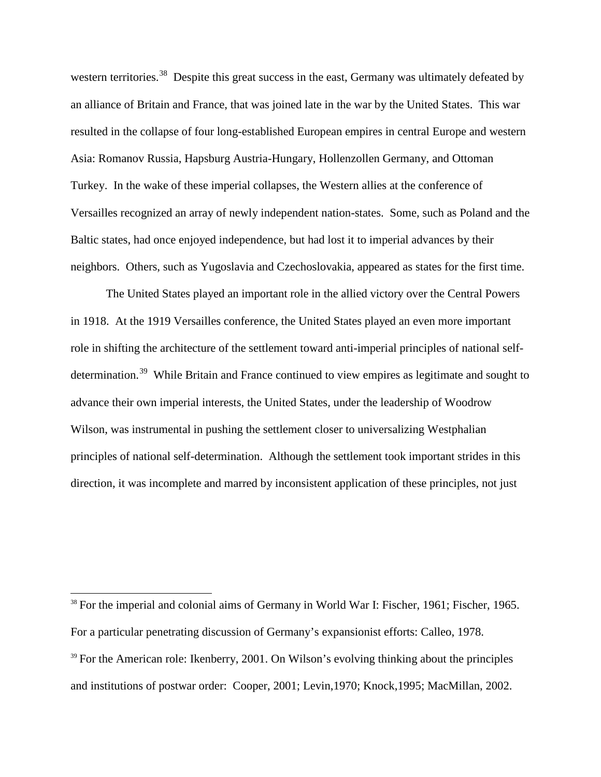western territories.<sup>38</sup> Despite this great success in the east, Germany was ultimately defeated by an alliance of Britain and France, that was joined late in the war by the United States. This war resulted in the collapse of four long-established European empires in central Europe and western Asia: Romanov Russia, Hapsburg Austria-Hungary, Hollenzollen Germany, and Ottoman Turkey. In the wake of these imperial collapses, the Western allies at the conference of Versailles recognized an array of newly independent nation-states. Some, such as Poland and the Baltic states, had once enjoyed independence, but had lost it to imperial advances by their neighbors. Others, such as Yugoslavia and Czechoslovakia, appeared as states for the first time.

The United States played an important role in the allied victory over the Central Powers in 1918. At the 1919 Versailles conference, the United States played an even more important role in shifting the architecture of the settlement toward anti-imperial principles of national self-determination.<sup>[39](#page-26-1)</sup> While Britain and France continued to view empires as legitimate and sought to advance their own imperial interests, the United States, under the leadership of Woodrow Wilson, was instrumental in pushing the settlement closer to universalizing Westphalian principles of national self-determination. Although the settlement took important strides in this direction, it was incomplete and marred by inconsistent application of these principles, not just

<span id="page-26-1"></span><span id="page-26-0"></span><sup>&</sup>lt;sup>38</sup> For the imperial and colonial aims of Germany in World War I: Fischer, 1961; Fischer, 1965. For a particular penetrating discussion of Germany's expansionist efforts: Calleo, 1978.  $39$  For the American role: Ikenberry, 2001. On Wilson's evolving thinking about the principles and institutions of postwar order: Cooper, 2001; Levin,1970; Knock,1995; MacMillan, 2002.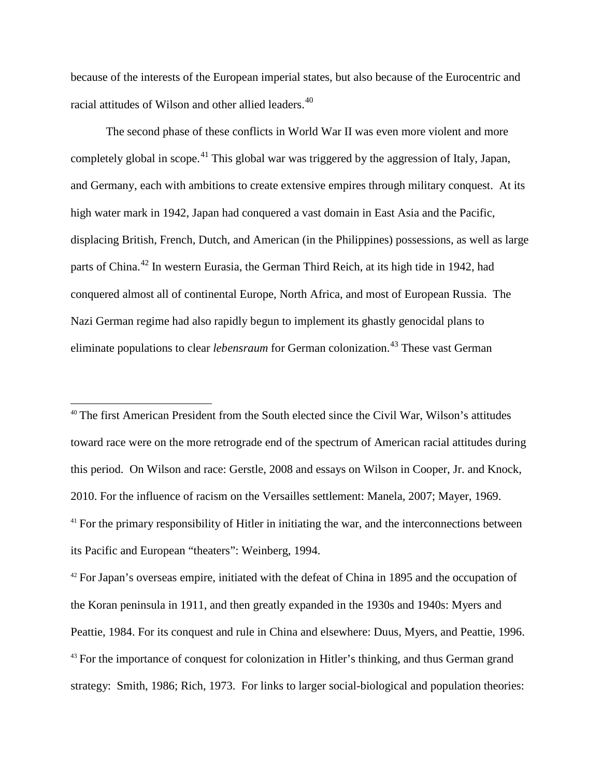because of the interests of the European imperial states, but also because of the Eurocentric and racial attitudes of Wilson and other allied leaders.<sup>[40](#page-27-0)</sup>

The second phase of these conflicts in World War II was even more violent and more completely global in scope.<sup>[41](#page-27-1)</sup> This global war was triggered by the aggression of Italy, Japan, and Germany, each with ambitions to create extensive empires through military conquest. At its high water mark in 1942, Japan had conquered a vast domain in East Asia and the Pacific, displacing British, French, Dutch, and American (in the Philippines) possessions, as well as large parts of China.<sup>[42](#page-27-2)</sup> In western Eurasia, the German Third Reich, at its high tide in 1942, had conquered almost all of continental Europe, North Africa, and most of European Russia. The Nazi German regime had also rapidly begun to implement its ghastly genocidal plans to eliminate populations to clear *lebensraum* for German colonization.<sup>[43](#page-27-3)</sup> These vast German

<span id="page-27-0"></span><sup>40</sup> The first American President from the South elected since the Civil War, Wilson's attitudes toward race were on the more retrograde end of the spectrum of American racial attitudes during this period. On Wilson and race: Gerstle, 2008 and essays on Wilson in Cooper, Jr. and Knock, 2010. For the influence of racism on the Versailles settlement: Manela, 2007; Mayer, 1969.  $41$  For the primary responsibility of Hitler in initiating the war, and the interconnections between its Pacific and European "theaters": Weinberg, 1994.

<span id="page-27-3"></span><span id="page-27-2"></span><span id="page-27-1"></span> $42$  For Japan's overseas empire, initiated with the defeat of China in 1895 and the occupation of the Koran peninsula in 1911, and then greatly expanded in the 1930s and 1940s: Myers and Peattie, 1984. For its conquest and rule in China and elsewhere: Duus, Myers, and Peattie, 1996.  $43$  For the importance of conquest for colonization in Hitler's thinking, and thus German grand strategy: Smith, 1986; Rich, 1973. For links to larger social-biological and population theories: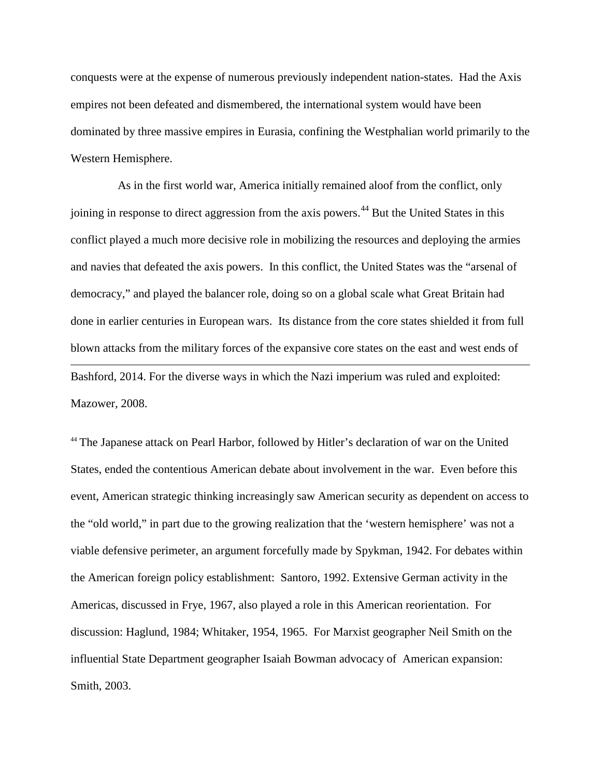conquests were at the expense of numerous previously independent nation-states. Had the Axis empires not been defeated and dismembered, the international system would have been dominated by three massive empires in Eurasia, confining the Westphalian world primarily to the Western Hemisphere.

 As in the first world war, America initially remained aloof from the conflict, only joining in response to direct aggression from the axis powers.<sup>[44](#page-28-0)</sup> But the United States in this conflict played a much more decisive role in mobilizing the resources and deploying the armies and navies that defeated the axis powers. In this conflict, the United States was the "arsenal of democracy," and played the balancer role, doing so on a global scale what Great Britain had done in earlier centuries in European wars. Its distance from the core states shielded it from full blown attacks from the military forces of the expansive core states on the east and west ends of  $\overline{a}$ Bashford, 2014. For the diverse ways in which the Nazi imperium was ruled and exploited: Mazower, 2008.

<span id="page-28-0"></span><sup>44</sup> The Japanese attack on Pearl Harbor, followed by Hitler's declaration of war on the United States, ended the contentious American debate about involvement in the war. Even before this event, American strategic thinking increasingly saw American security as dependent on access to the "old world," in part due to the growing realization that the 'western hemisphere' was not a viable defensive perimeter, an argument forcefully made by Spykman, 1942. For debates within the American foreign policy establishment: Santoro, 1992. Extensive German activity in the Americas, discussed in Frye, 1967, also played a role in this American reorientation. For discussion: Haglund, 1984; Whitaker, 1954, 1965. For Marxist geographer Neil Smith on the influential State Department geographer Isaiah Bowman advocacy of American expansion: Smith, 2003.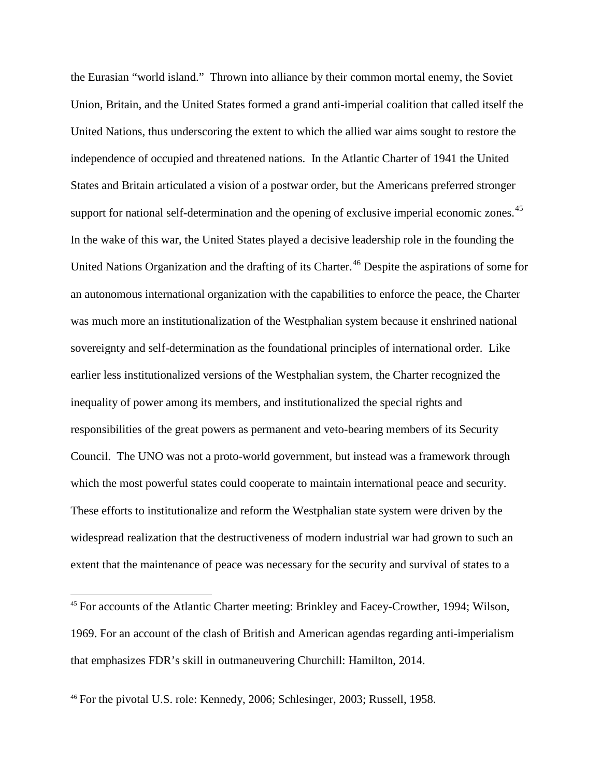the Eurasian "world island." Thrown into alliance by their common mortal enemy, the Soviet Union, Britain, and the United States formed a grand anti-imperial coalition that called itself the United Nations, thus underscoring the extent to which the allied war aims sought to restore the independence of occupied and threatened nations. In the Atlantic Charter of 1941 the United States and Britain articulated a vision of a postwar order, but the Americans preferred stronger support for national self-determination and the opening of exclusive imperial economic zones.<sup>[45](#page-29-0)</sup> In the wake of this war, the United States played a decisive leadership role in the founding the United Nations Organization and the drafting of its Charter.<sup>[46](#page-29-1)</sup> Despite the aspirations of some for an autonomous international organization with the capabilities to enforce the peace, the Charter was much more an institutionalization of the Westphalian system because it enshrined national sovereignty and self-determination as the foundational principles of international order. Like earlier less institutionalized versions of the Westphalian system, the Charter recognized the inequality of power among its members, and institutionalized the special rights and responsibilities of the great powers as permanent and veto-bearing members of its Security Council. The UNO was not a proto-world government, but instead was a framework through which the most powerful states could cooperate to maintain international peace and security. These efforts to institutionalize and reform the Westphalian state system were driven by the widespread realization that the destructiveness of modern industrial war had grown to such an extent that the maintenance of peace was necessary for the security and survival of states to a

<span id="page-29-0"></span> <sup>45</sup> For accounts of the Atlantic Charter meeting: Brinkley and Facey-Crowther, 1994; Wilson, 1969. For an account of the clash of British and American agendas regarding anti-imperialism that emphasizes FDR's skill in outmaneuvering Churchill: Hamilton, 2014.

<span id="page-29-1"></span><sup>46</sup> For the pivotal U.S. role: Kennedy, 2006; Schlesinger, 2003; Russell, 1958.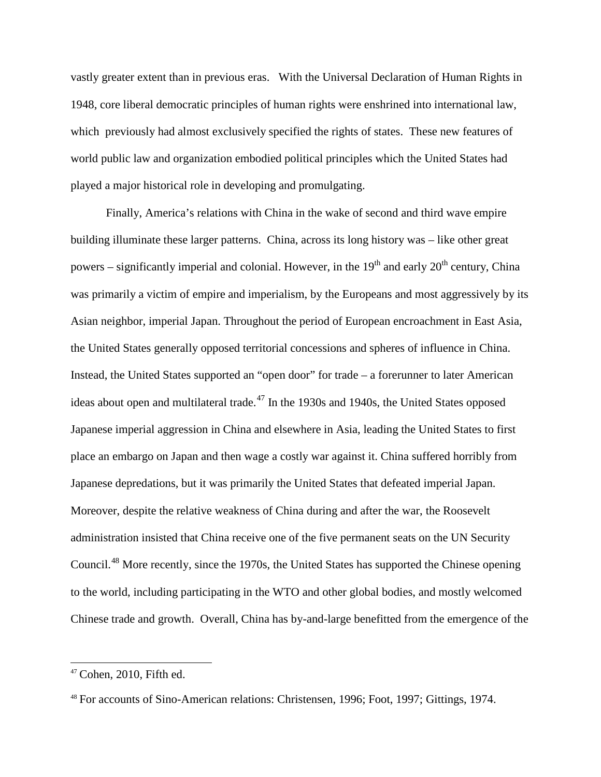vastly greater extent than in previous eras. With the Universal Declaration of Human Rights in 1948, core liberal democratic principles of human rights were enshrined into international law, which previously had almost exclusively specified the rights of states. These new features of world public law and organization embodied political principles which the United States had played a major historical role in developing and promulgating.

Finally, America's relations with China in the wake of second and third wave empire building illuminate these larger patterns. China, across its long history was – like other great powers – significantly imperial and colonial. However, in the  $19<sup>th</sup>$  and early  $20<sup>th</sup>$  century, China was primarily a victim of empire and imperialism, by the Europeans and most aggressively by its Asian neighbor, imperial Japan. Throughout the period of European encroachment in East Asia, the United States generally opposed territorial concessions and spheres of influence in China. Instead, the United States supported an "open door" for trade – a forerunner to later American ideas about open and multilateral trade.<sup>[47](#page-30-0)</sup> In the 1930s and 1940s, the United States opposed Japanese imperial aggression in China and elsewhere in Asia, leading the United States to first place an embargo on Japan and then wage a costly war against it. China suffered horribly from Japanese depredations, but it was primarily the United States that defeated imperial Japan. Moreover, despite the relative weakness of China during and after the war, the Roosevelt administration insisted that China receive one of the five permanent seats on the UN Security Council.[48](#page-30-1) More recently, since the 1970s, the United States has supported the Chinese opening to the world, including participating in the WTO and other global bodies, and mostly welcomed Chinese trade and growth. Overall, China has by-and-large benefitted from the emergence of the

<span id="page-30-0"></span> $47$  Cohen, 2010, Fifth ed.

<span id="page-30-1"></span><sup>48</sup> For accounts of Sino-American relations: Christensen, 1996; Foot, 1997; Gittings, 1974.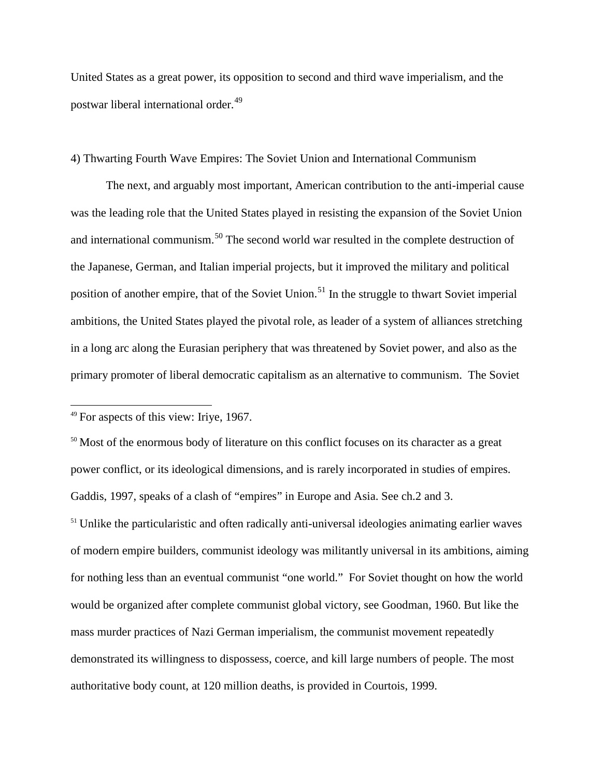United States as a great power, its opposition to second and third wave imperialism, and the postwar liberal international order.<sup>[49](#page-31-0)</sup>

#### 4) Thwarting Fourth Wave Empires: The Soviet Union and International Communism

The next, and arguably most important, American contribution to the anti-imperial cause was the leading role that the United States played in resisting the expansion of the Soviet Union and international communism.[50](#page-31-1) The second world war resulted in the complete destruction of the Japanese, German, and Italian imperial projects, but it improved the military and political position of another empire, that of the Soviet Union.<sup>[51](#page-31-2)</sup> In the struggle to thwart Soviet imperial ambitions, the United States played the pivotal role, as leader of a system of alliances stretching in a long arc along the Eurasian periphery that was threatened by Soviet power, and also as the primary promoter of liberal democratic capitalism as an alternative to communism. The Soviet

<span id="page-31-2"></span><sup>51</sup> Unlike the particularistic and often radically anti-universal ideologies animating earlier waves of modern empire builders, communist ideology was militantly universal in its ambitions, aiming for nothing less than an eventual communist "one world." For Soviet thought on how the world would be organized after complete communist global victory, see Goodman, 1960. But like the mass murder practices of Nazi German imperialism, the communist movement repeatedly demonstrated its willingness to dispossess, coerce, and kill large numbers of people. The most authoritative body count, at 120 million deaths, is provided in Courtois, 1999.

<span id="page-31-0"></span> <sup>49</sup> For aspects of this view: Iriye, 1967.

<span id="page-31-1"></span><sup>&</sup>lt;sup>50</sup> Most of the enormous body of literature on this conflict focuses on its character as a great power conflict, or its ideological dimensions, and is rarely incorporated in studies of empires. Gaddis, 1997, speaks of a clash of "empires" in Europe and Asia. See ch.2 and 3.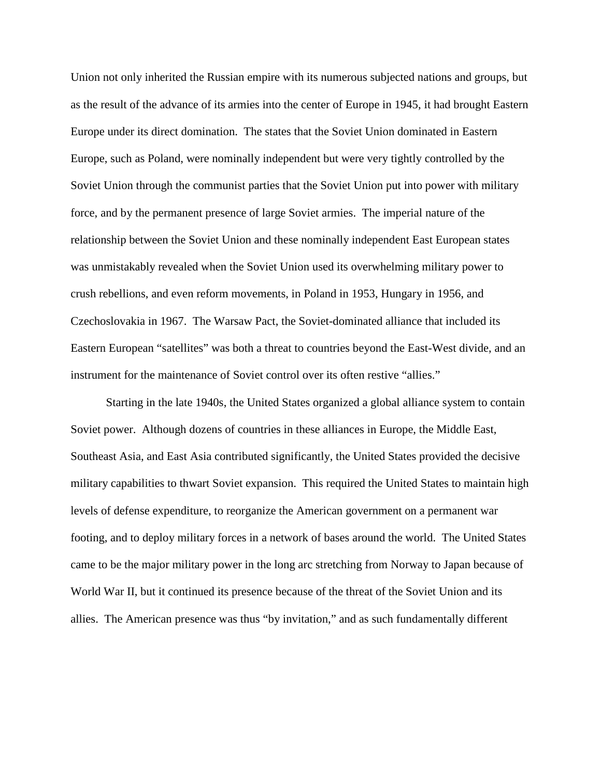Union not only inherited the Russian empire with its numerous subjected nations and groups, but as the result of the advance of its armies into the center of Europe in 1945, it had brought Eastern Europe under its direct domination. The states that the Soviet Union dominated in Eastern Europe, such as Poland, were nominally independent but were very tightly controlled by the Soviet Union through the communist parties that the Soviet Union put into power with military force, and by the permanent presence of large Soviet armies. The imperial nature of the relationship between the Soviet Union and these nominally independent East European states was unmistakably revealed when the Soviet Union used its overwhelming military power to crush rebellions, and even reform movements, in Poland in 1953, Hungary in 1956, and Czechoslovakia in 1967. The Warsaw Pact, the Soviet-dominated alliance that included its Eastern European "satellites" was both a threat to countries beyond the East-West divide, and an instrument for the maintenance of Soviet control over its often restive "allies."

Starting in the late 1940s, the United States organized a global alliance system to contain Soviet power. Although dozens of countries in these alliances in Europe, the Middle East, Southeast Asia, and East Asia contributed significantly, the United States provided the decisive military capabilities to thwart Soviet expansion. This required the United States to maintain high levels of defense expenditure, to reorganize the American government on a permanent war footing, and to deploy military forces in a network of bases around the world. The United States came to be the major military power in the long arc stretching from Norway to Japan because of World War II, but it continued its presence because of the threat of the Soviet Union and its allies. The American presence was thus "by invitation," and as such fundamentally different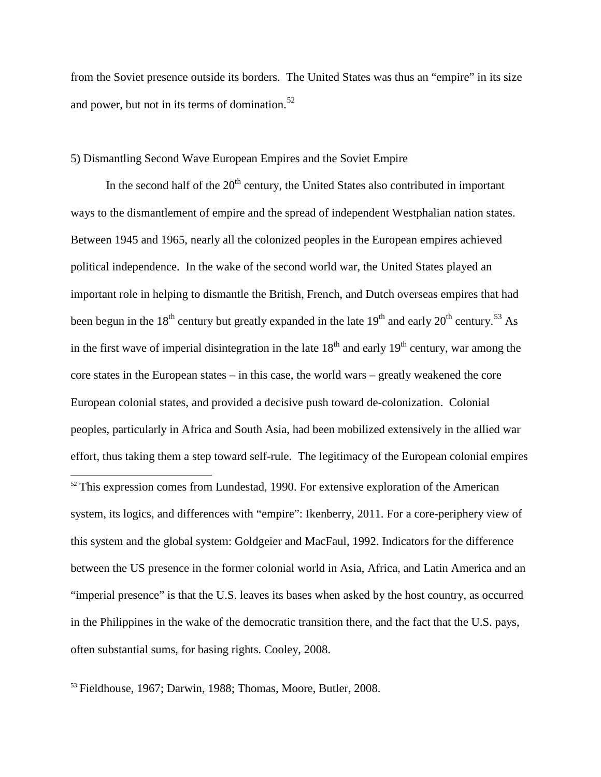from the Soviet presence outside its borders. The United States was thus an "empire" in its size and power, but not in its terms of domination. $52$ 

## 5) Dismantling Second Wave European Empires and the Soviet Empire

In the second half of the  $20<sup>th</sup>$  century, the United States also contributed in important ways to the dismantlement of empire and the spread of independent Westphalian nation states. Between 1945 and 1965, nearly all the colonized peoples in the European empires achieved political independence. In the wake of the second world war, the United States played an important role in helping to dismantle the British, French, and Dutch overseas empires that had been begun in the  $18<sup>th</sup>$  century but greatly expanded in the late  $19<sup>th</sup>$  and early  $20<sup>th</sup>$  century.<sup>[53](#page-33-1)</sup> As in the first wave of imperial disintegration in the late  $18<sup>th</sup>$  and early  $19<sup>th</sup>$  century, war among the core states in the European states – in this case, the world wars – greatly weakened the core European colonial states, and provided a decisive push toward de-colonization. Colonial peoples, particularly in Africa and South Asia, had been mobilized extensively in the allied war effort, thus taking them a step toward self-rule. The legitimacy of the European colonial empires  $52$  This expression comes from Lundestad, 1990. For extensive exploration of the American system, its logics, and differences with "empire": Ikenberry, 2011. For a core-periphery view of this system and the global system: Goldgeier and MacFaul, 1992. Indicators for the difference between the US presence in the former colonial world in Asia, Africa, and Latin America and an "imperial presence" is that the U.S. leaves its bases when asked by the host country, as occurred in the Philippines in the wake of the democratic transition there, and the fact that the U.S. pays, often substantial sums, for basing rights. Cooley, 2008.

<span id="page-33-1"></span><span id="page-33-0"></span><sup>53</sup> Fieldhouse, 1967; Darwin, 1988; Thomas, Moore, Butler, 2008.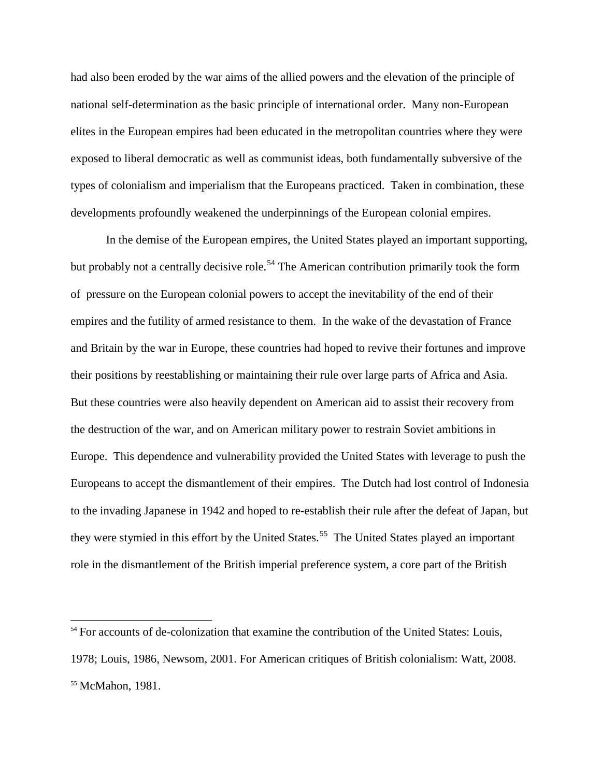had also been eroded by the war aims of the allied powers and the elevation of the principle of national self-determination as the basic principle of international order. Many non-European elites in the European empires had been educated in the metropolitan countries where they were exposed to liberal democratic as well as communist ideas, both fundamentally subversive of the types of colonialism and imperialism that the Europeans practiced. Taken in combination, these developments profoundly weakened the underpinnings of the European colonial empires.

In the demise of the European empires, the United States played an important supporting, but probably not a centrally decisive role.<sup>[54](#page-34-0)</sup> The American contribution primarily took the form of pressure on the European colonial powers to accept the inevitability of the end of their empires and the futility of armed resistance to them. In the wake of the devastation of France and Britain by the war in Europe, these countries had hoped to revive their fortunes and improve their positions by reestablishing or maintaining their rule over large parts of Africa and Asia. But these countries were also heavily dependent on American aid to assist their recovery from the destruction of the war, and on American military power to restrain Soviet ambitions in Europe. This dependence and vulnerability provided the United States with leverage to push the Europeans to accept the dismantlement of their empires. The Dutch had lost control of Indonesia to the invading Japanese in 1942 and hoped to re-establish their rule after the defeat of Japan, but they were stymied in this effort by the United States.<sup>55</sup> The United States played an important role in the dismantlement of the British imperial preference system, a core part of the British

<span id="page-34-1"></span><span id="page-34-0"></span><sup>&</sup>lt;sup>54</sup> For accounts of de-colonization that examine the contribution of the United States: Louis, 1978; Louis, 1986, Newsom, 2001. For American critiques of British colonialism: Watt, 2008. <sup>55</sup> McMahon, 1981.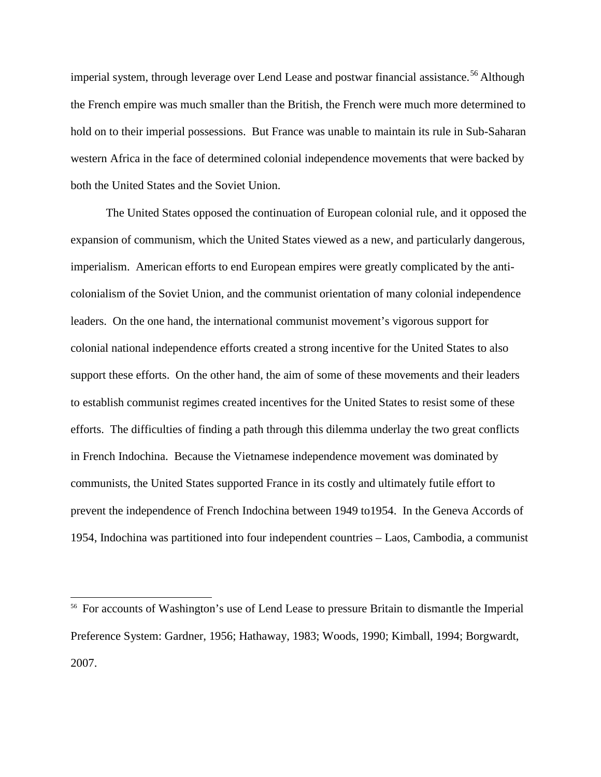imperial system, through leverage over Lend Lease and postwar financial assistance.<sup>[56](#page-35-0)</sup> Although the French empire was much smaller than the British, the French were much more determined to hold on to their imperial possessions. But France was unable to maintain its rule in Sub-Saharan western Africa in the face of determined colonial independence movements that were backed by both the United States and the Soviet Union.

The United States opposed the continuation of European colonial rule, and it opposed the expansion of communism, which the United States viewed as a new, and particularly dangerous, imperialism. American efforts to end European empires were greatly complicated by the anticolonialism of the Soviet Union, and the communist orientation of many colonial independence leaders. On the one hand, the international communist movement's vigorous support for colonial national independence efforts created a strong incentive for the United States to also support these efforts. On the other hand, the aim of some of these movements and their leaders to establish communist regimes created incentives for the United States to resist some of these efforts. The difficulties of finding a path through this dilemma underlay the two great conflicts in French Indochina. Because the Vietnamese independence movement was dominated by communists, the United States supported France in its costly and ultimately futile effort to prevent the independence of French Indochina between 1949 to1954. In the Geneva Accords of 1954, Indochina was partitioned into four independent countries – Laos, Cambodia, a communist

<span id="page-35-0"></span><sup>&</sup>lt;sup>56</sup> For accounts of Washington's use of Lend Lease to pressure Britain to dismantle the Imperial Preference System: Gardner, 1956; Hathaway, 1983; Woods, 1990; Kimball, 1994; Borgwardt, 2007.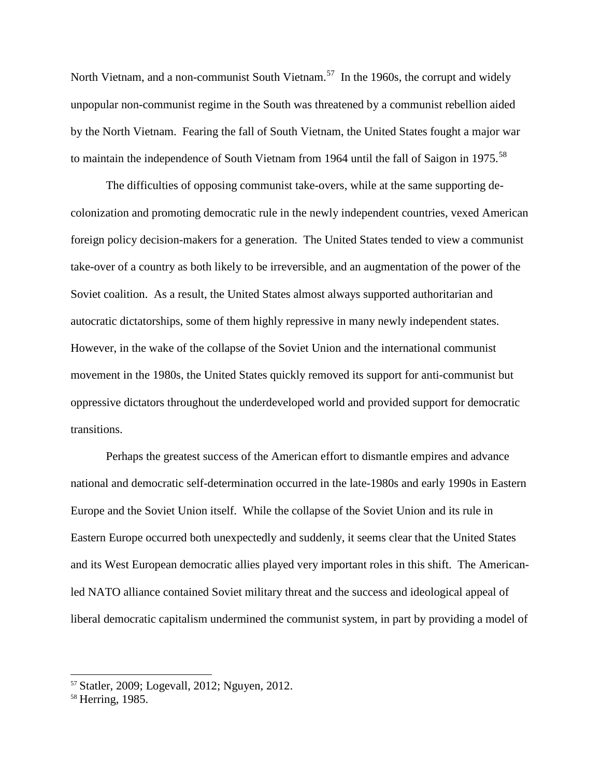North Vietnam, and a non-communist South Vietnam.<sup>[57](#page-36-0)</sup> In the 1960s, the corrupt and widely unpopular non-communist regime in the South was threatened by a communist rebellion aided by the North Vietnam. Fearing the fall of South Vietnam, the United States fought a major war to maintain the independence of South Vietnam from 1964 until the fall of Saigon in 1975.<sup>[58](#page-36-1)</sup>

The difficulties of opposing communist take-overs, while at the same supporting decolonization and promoting democratic rule in the newly independent countries, vexed American foreign policy decision-makers for a generation. The United States tended to view a communist take-over of a country as both likely to be irreversible, and an augmentation of the power of the Soviet coalition. As a result, the United States almost always supported authoritarian and autocratic dictatorships, some of them highly repressive in many newly independent states. However, in the wake of the collapse of the Soviet Union and the international communist movement in the 1980s, the United States quickly removed its support for anti-communist but oppressive dictators throughout the underdeveloped world and provided support for democratic transitions.

Perhaps the greatest success of the American effort to dismantle empires and advance national and democratic self-determination occurred in the late-1980s and early 1990s in Eastern Europe and the Soviet Union itself. While the collapse of the Soviet Union and its rule in Eastern Europe occurred both unexpectedly and suddenly, it seems clear that the United States and its West European democratic allies played very important roles in this shift. The Americanled NATO alliance contained Soviet military threat and the success and ideological appeal of liberal democratic capitalism undermined the communist system, in part by providing a model of

<span id="page-36-0"></span> <sup>57</sup> Statler, 2009; Logevall, 2012; Nguyen, 2012.

<span id="page-36-1"></span><sup>&</sup>lt;sup>58</sup> Herring, 1985.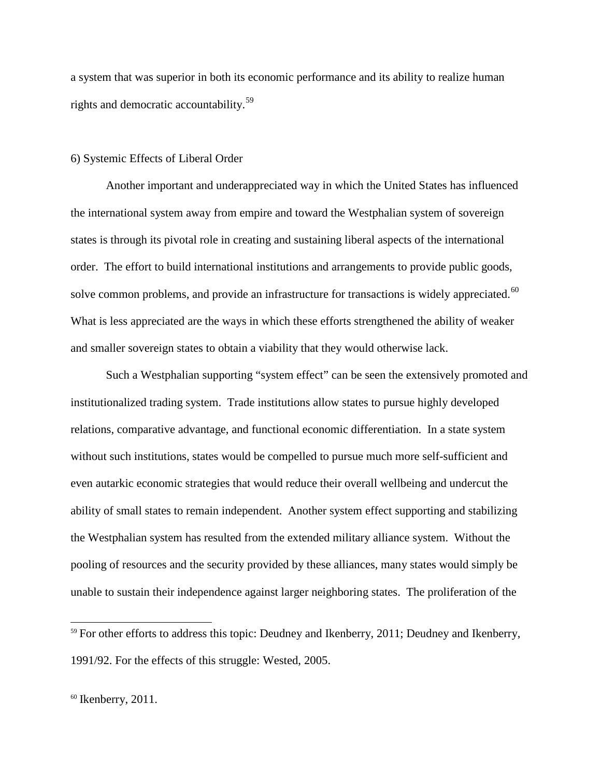a system that was superior in both its economic performance and its ability to realize human rights and democratic accountability.[59](#page-37-0)

### 6) Systemic Effects of Liberal Order

Another important and underappreciated way in which the United States has influenced the international system away from empire and toward the Westphalian system of sovereign states is through its pivotal role in creating and sustaining liberal aspects of the international order. The effort to build international institutions and arrangements to provide public goods, solve common problems, and provide an infrastructure for transactions is widely appreciated.<sup>[60](#page-37-1)</sup> What is less appreciated are the ways in which these efforts strengthened the ability of weaker and smaller sovereign states to obtain a viability that they would otherwise lack.

Such a Westphalian supporting "system effect" can be seen the extensively promoted and institutionalized trading system. Trade institutions allow states to pursue highly developed relations, comparative advantage, and functional economic differentiation. In a state system without such institutions, states would be compelled to pursue much more self-sufficient and even autarkic economic strategies that would reduce their overall wellbeing and undercut the ability of small states to remain independent. Another system effect supporting and stabilizing the Westphalian system has resulted from the extended military alliance system. Without the pooling of resources and the security provided by these alliances, many states would simply be unable to sustain their independence against larger neighboring states. The proliferation of the

<span id="page-37-0"></span> $59$  For other efforts to address this topic: Deudney and Ikenberry, 2011; Deudney and Ikenberry, 1991/92. For the effects of this struggle: Wested, 2005.

<span id="page-37-1"></span> $60$  Ikenberry, 2011.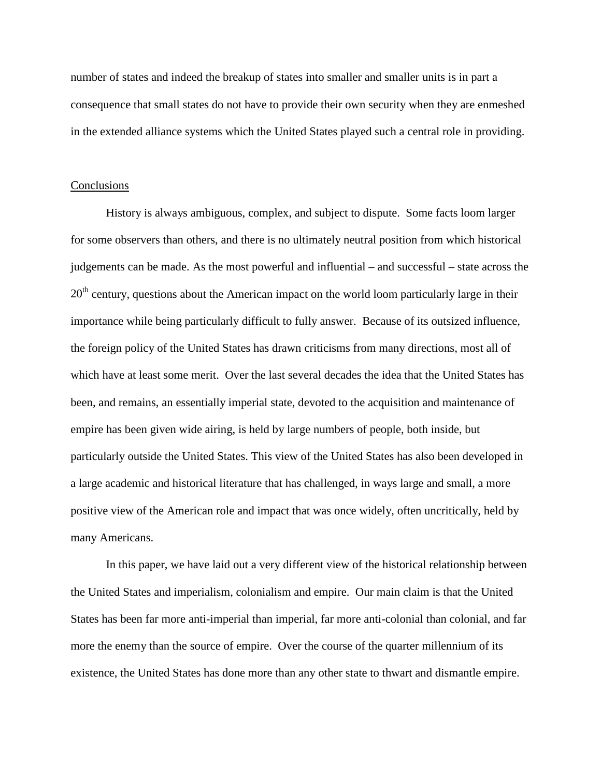number of states and indeed the breakup of states into smaller and smaller units is in part a consequence that small states do not have to provide their own security when they are enmeshed in the extended alliance systems which the United States played such a central role in providing.

### **Conclusions**

History is always ambiguous, complex, and subject to dispute. Some facts loom larger for some observers than others, and there is no ultimately neutral position from which historical judgements can be made. As the most powerful and influential – and successful – state across the  $20<sup>th</sup>$  century, questions about the American impact on the world loom particularly large in their importance while being particularly difficult to fully answer. Because of its outsized influence, the foreign policy of the United States has drawn criticisms from many directions, most all of which have at least some merit. Over the last several decades the idea that the United States has been, and remains, an essentially imperial state, devoted to the acquisition and maintenance of empire has been given wide airing, is held by large numbers of people, both inside, but particularly outside the United States. This view of the United States has also been developed in a large academic and historical literature that has challenged, in ways large and small, a more positive view of the American role and impact that was once widely, often uncritically, held by many Americans.

In this paper, we have laid out a very different view of the historical relationship between the United States and imperialism, colonialism and empire. Our main claim is that the United States has been far more anti-imperial than imperial, far more anti-colonial than colonial, and far more the enemy than the source of empire. Over the course of the quarter millennium of its existence, the United States has done more than any other state to thwart and dismantle empire.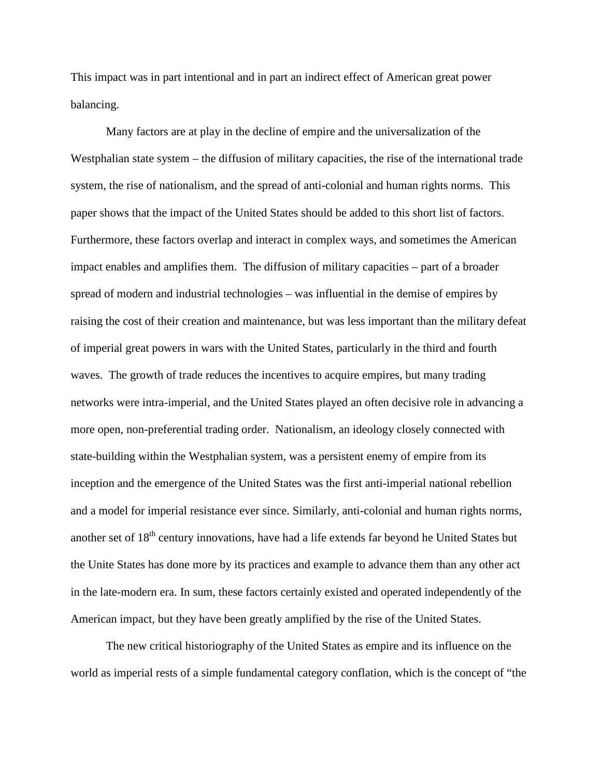This impact was in part intentional and in part an indirect effect of American great power balancing.

Many factors are at play in the decline of empire and the universalization of the Westphalian state system – the diffusion of military capacities, the rise of the international trade system, the rise of nationalism, and the spread of anti-colonial and human rights norms. This paper shows that the impact of the United States should be added to this short list of factors. Furthermore, these factors overlap and interact in complex ways, and sometimes the American impact enables and amplifies them. The diffusion of military capacities – part of a broader spread of modern and industrial technologies – was influential in the demise of empires by raising the cost of their creation and maintenance, but was less important than the military defeat of imperial great powers in wars with the United States, particularly in the third and fourth waves. The growth of trade reduces the incentives to acquire empires, but many trading networks were intra-imperial, and the United States played an often decisive role in advancing a more open, non-preferential trading order. Nationalism, an ideology closely connected with state-building within the Westphalian system, was a persistent enemy of empire from its inception and the emergence of the United States was the first anti-imperial national rebellion and a model for imperial resistance ever since. Similarly, anti-colonial and human rights norms, another set of 18<sup>th</sup> century innovations, have had a life extends far beyond he United States but the Unite States has done more by its practices and example to advance them than any other act in the late-modern era. In sum, these factors certainly existed and operated independently of the American impact, but they have been greatly amplified by the rise of the United States.

The new critical historiography of the United States as empire and its influence on the world as imperial rests of a simple fundamental category conflation, which is the concept of "the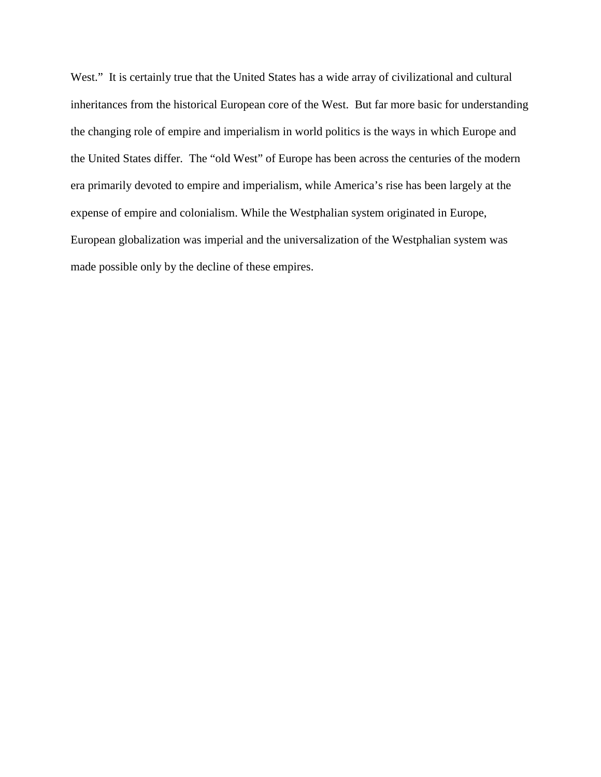West." It is certainly true that the United States has a wide array of civilizational and cultural inheritances from the historical European core of the West. But far more basic for understanding the changing role of empire and imperialism in world politics is the ways in which Europe and the United States differ. The "old West" of Europe has been across the centuries of the modern era primarily devoted to empire and imperialism, while America's rise has been largely at the expense of empire and colonialism. While the Westphalian system originated in Europe, European globalization was imperial and the universalization of the Westphalian system was made possible only by the decline of these empires.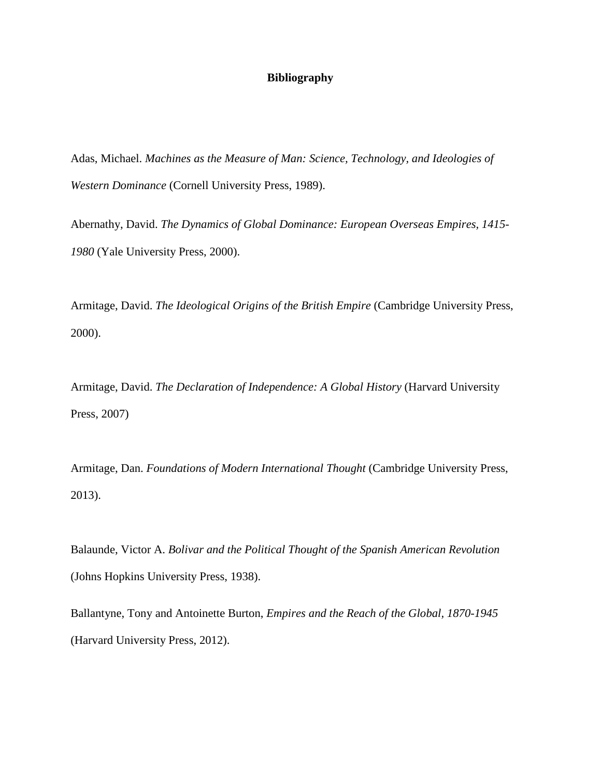# **Bibliography**

Adas, Michael. *Machines as the Measure of Man: Science, Technology, and Ideologies of Western Dominance* (Cornell University Press, 1989).

Abernathy, David. *The Dynamics of Global Dominance: European Overseas Empires, 1415- 1980* (Yale University Press, 2000).

Armitage, David. *The Ideological Origins of the British Empire* (Cambridge University Press, 2000).

Armitage, David. *The Declaration of Independence: A Global History* (Harvard University Press, 2007)

Armitage, Dan. *Foundations of Modern International Thought* (Cambridge University Press, 2013).

Balaunde, Victor A. *Bolivar and the Political Thought of the Spanish American Revolution*  (Johns Hopkins University Press, 1938).

Ballantyne, Tony and Antoinette Burton, *Empires and the Reach of the Global, 1870-1945*  (Harvard University Press, 2012).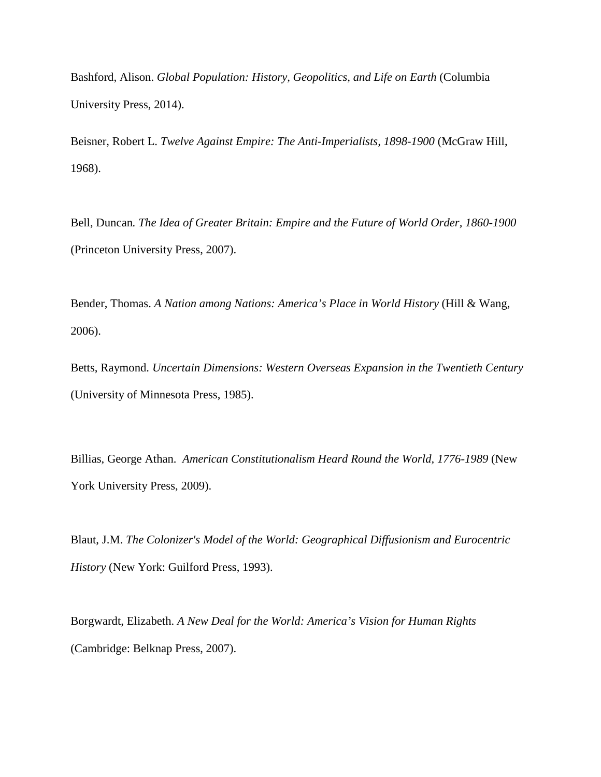Bashford, Alison. *Global Population: History, Geopolitics, and Life on Earth* (Columbia University Press, 2014).

Beisner, Robert L. *Twelve Against Empire: The Anti-Imperialists, 1898-1900* (McGraw Hill, 1968).

Bell, Duncan*. The Idea of Greater Britain: Empire and the Future of World Order, 1860-1900*  (Princeton University Press, 2007).

Bender, Thomas. *A Nation among Nations: America's Place in World History* (Hill & Wang, 2006).

Betts, Raymond. *Uncertain Dimensions: Western Overseas Expansion in the Twentieth Century* (University of Minnesota Press, 1985).

Billias, George Athan. *American Constitutionalism Heard Round the World, 1776-1989* (New York University Press, 2009).

Blaut, J.M. *The Colonizer's Model of the World: Geographical Diffusionism and Eurocentric History* (New York: Guilford Press, 1993).

Borgwardt, Elizabeth. *A New Deal for the World: America's Vision for Human Rights* (Cambridge: Belknap Press, 2007).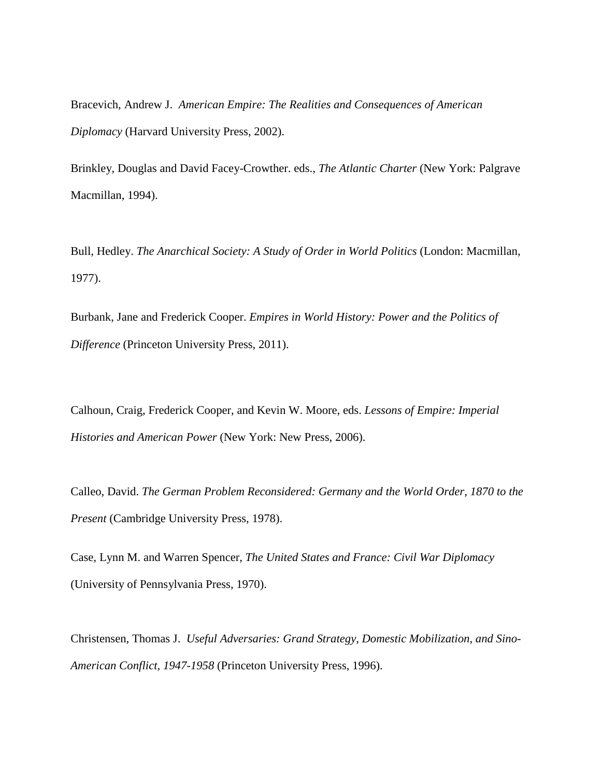Bracevich, Andrew J. *American Empire: The Realities and Consequences of American Diplomacy* (Harvard University Press, 2002).

Brinkley, Douglas and David Facey-Crowther. eds., *The Atlantic Charter* (New York: Palgrave Macmillan, 1994).

Bull, Hedley. *The Anarchical Society: A Study of Order in World Politics* (London: Macmillan, 1977).

Burbank, Jane and Frederick Cooper. *Empires in World History: Power and the Politics of Difference* (Princeton University Press, 2011).

Calhoun, Craig, Frederick Cooper, and Kevin W. Moore, eds. *Lessons of Empire: Imperial Histories and American Power* (New York: New Press, 2006).

Calleo, David. *The German Problem Reconsidered: Germany and the World Order, 1870 to the Present* (Cambridge University Press, 1978).

Case, Lynn M. and Warren Spencer, *The United States and France: Civil War Diplomacy*  (University of Pennsylvania Press, 1970).

Christensen, Thomas J. *Useful Adversaries: Grand Strategy, Domestic Mobilization, and Sino-American Conflict, 1947-1958* (Princeton University Press, 1996).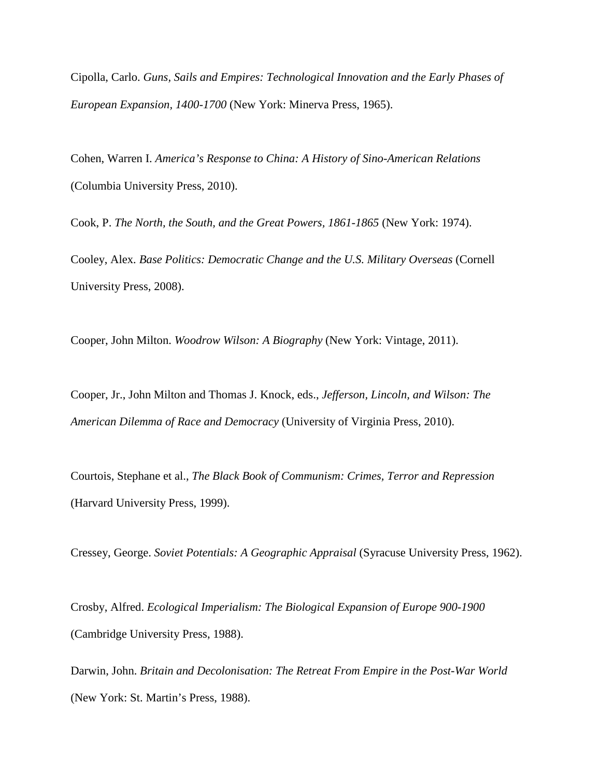Cipolla, Carlo. *Guns, Sails and Empires: Technological Innovation and the Early Phases of European Expansion, 1400-1700* (New York: Minerva Press, 1965).

Cohen, Warren I. *America's Response to China: A History of Sino-American Relations* (Columbia University Press, 2010).

Cook, P. *The North, the South, and the Great Powers, 1861-1865* (New York: 1974).

Cooley, Alex*. Base Politics: Democratic Change and the U.S. Military Overseas* (Cornell University Press, 2008).

Cooper, John Milton. *Woodrow Wilson: A Biography* (New York: Vintage, 2011).

Cooper, Jr., John Milton and Thomas J. Knock, eds., *Jefferson, Lincoln, and Wilson: The American Dilemma of Race and Democracy* (University of Virginia Press, 2010).

Courtois, Stephane et al., *The Black Book of Communism: Crimes, Terror and Repression* (Harvard University Press, 1999).

Cressey, George. *Soviet Potentials: A Geographic Appraisal* (Syracuse University Press, 1962).

Crosby, Alfred. *Ecological Imperialism: The Biological Expansion of Europe 900-1900* (Cambridge University Press, 1988).

Darwin, John. *Britain and Decolonisation: The Retreat From Empire in the Post-War World* (New York: St. Martin's Press, 1988).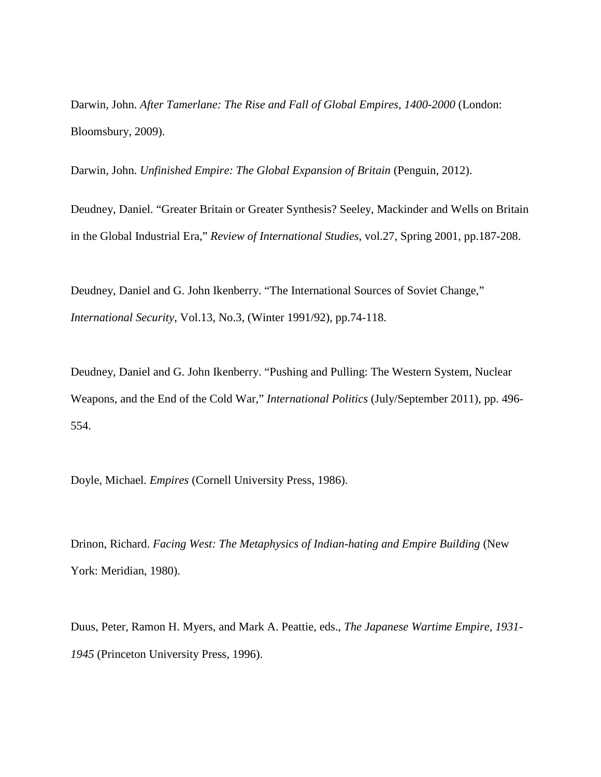Darwin, John. *After Tamerlane: The Rise and Fall of Global Empires, 1400-2000* (London: Bloomsbury, 2009).

Darwin, John. *Unfinished Empire: The Global Expansion of Britain* (Penguin, 2012).

Deudney, Daniel. "Greater Britain or Greater Synthesis? Seeley, Mackinder and Wells on Britain in the Global Industrial Era," *Review of International Studies*, vol.27, Spring 2001, pp.187-208.

Deudney, Daniel and G. John Ikenberry. "The International Sources of Soviet Change," *International Security*, Vol.13, No.3, (Winter 1991/92), pp.74-118.

Deudney, Daniel and G. John Ikenberry. "Pushing and Pulling: The Western System, Nuclear Weapons, and the End of the Cold War," *International Politics* (July/September 2011), pp. 496- 554.

Doyle, Michael. *Empires* (Cornell University Press, 1986).

Drinon, Richard. *Facing West: The Metaphysics of Indian-hating and Empire Building* (New York: Meridian, 1980).

Duus, Peter, Ramon H. Myers, and Mark A. Peattie, eds., *The Japanese Wartime Empire, 1931- 1945* (Princeton University Press, 1996).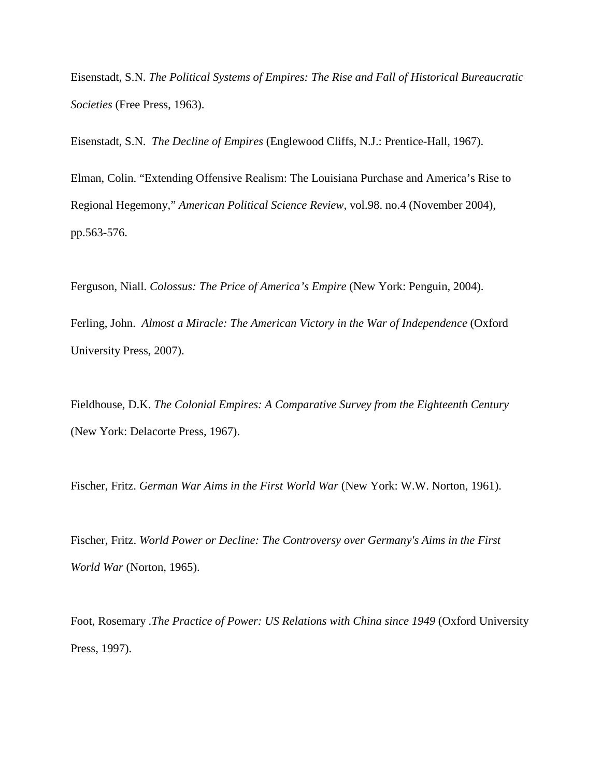Eisenstadt, S.N. *The Political Systems of Empires: The Rise and Fall of Historical Bureaucratic Societies* (Free Press, 1963).

Eisenstadt, S.N. *The Decline of Empires* (Englewood Cliffs, N.J.: Prentice-Hall, 1967).

Elman, Colin. "Extending Offensive Realism: The Louisiana Purchase and America's Rise to Regional Hegemony," *American Political Science Review*, vol.98. no.4 (November 2004), pp.563-576.

Ferguson, Niall. *Colossus: The Price of America's Empire* (New York: Penguin, 2004).

Ferling, John. *Almost a Miracle: The American Victory in the War of Independence* (Oxford University Press, 2007).

Fieldhouse, D.K. *The Colonial Empires: A Comparative Survey from the Eighteenth Century* (New York: Delacorte Press, 1967).

Fischer, Fritz. *German War Aims in the First World War* (New York: W.W. Norton, 1961).

Fischer, Fritz. *World Power or Decline: The Controversy over Germany's Aims in the First World War* (Norton, 1965).

Foot, Rosemary *.The Practice of Power: US Relations with China since 1949* (Oxford University Press, 1997).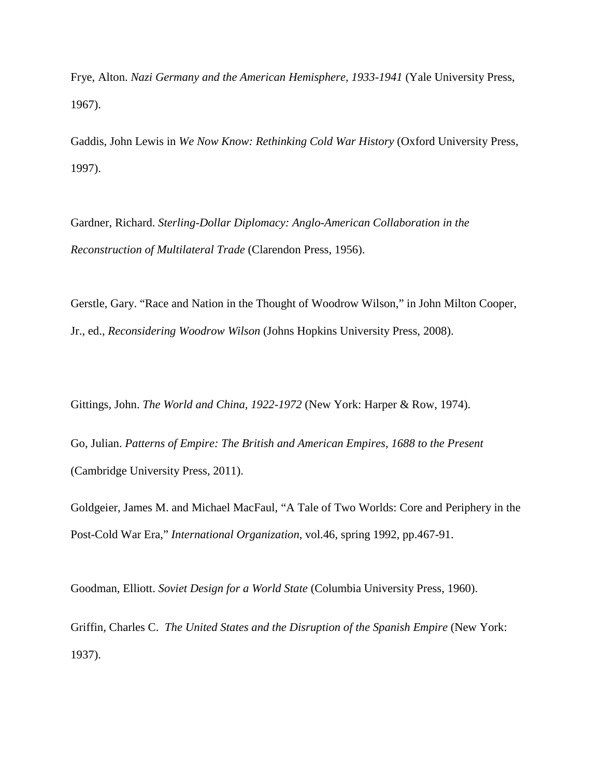Frye, Alton. *Nazi Germany and the American Hemisphere, 1933-1941* (Yale University Press, 1967).

Gaddis, John Lewis in *We Now Know: Rethinking Cold War History* (Oxford University Press, 1997).

Gardner, Richard. *Sterling-Dollar Diplomacy: Anglo-American Collaboration in the Reconstruction of Multilateral Trade* (Clarendon Press, 1956).

Gerstle, Gary. "Race and Nation in the Thought of Woodrow Wilson," in John Milton Cooper, Jr., ed., *Reconsidering Woodrow Wilson* (Johns Hopkins University Press, 2008).

Gittings, John. *The World and China, 1922-1972* (New York: Harper & Row, 1974).

Go, Julian. *Patterns of Empire: The British and American Empires, 1688 to the Present* (Cambridge University Press, 2011).

Goldgeier, James M. and Michael MacFaul, "A Tale of Two Worlds: Core and Periphery in the Post-Cold War Era," *International Organization*, vol.46, spring 1992, pp.467-91.

Goodman, Elliott. *Soviet Design for a World State* (Columbia University Press, 1960).

Griffin, Charles C. *The United States and the Disruption of the Spanish Empire* (New York: 1937).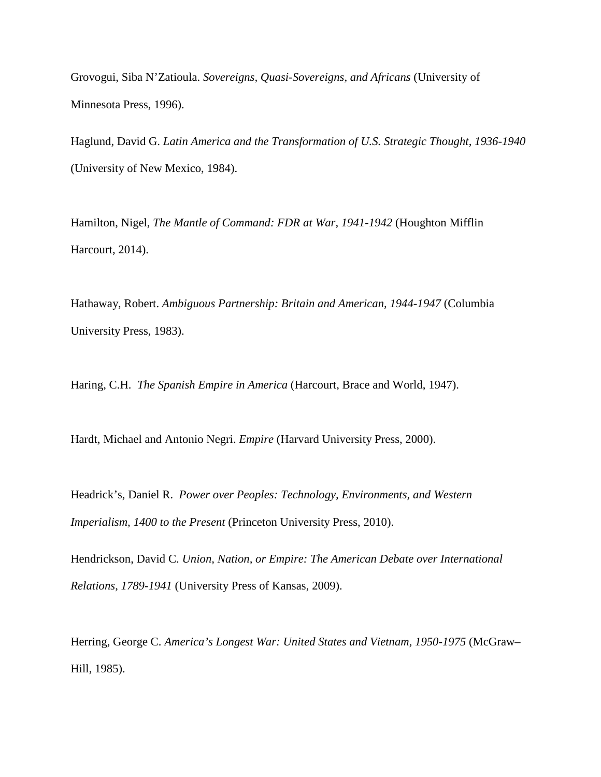Grovogui, Siba N'Zatioula. *Sovereigns, Quasi-Sovereigns, and Africans* (University of Minnesota Press, 1996).

Haglund, David G. *Latin America and the Transformation of U.S. Strategic Thought, 1936-1940* (University of New Mexico, 1984).

Hamilton, Nigel, *The Mantle of Command: FDR at War, 1941-1942* (Houghton Mifflin Harcourt, 2014).

Hathaway, Robert. *Ambiguous Partnership: Britain and American, 1944-1947* (Columbia University Press, 1983).

Haring, C.H. *The Spanish Empire in America* (Harcourt, Brace and World, 1947).

Hardt, Michael and Antonio Negri. *Empire* (Harvard University Press, 2000).

Headrick's, Daniel R. *Power over Peoples: Technology, Environments, and Western Imperialism, 1400 to the Present* (Princeton University Press, 2010).

Hendrickson, David C. *Union, Nation, or Empire: The American Debate over International Relations, 1789-1941* (University Press of Kansas, 2009).

Herring, George C. *America's Longest War: United States and Vietnam, 1950-1975* (McGraw– Hill, 1985).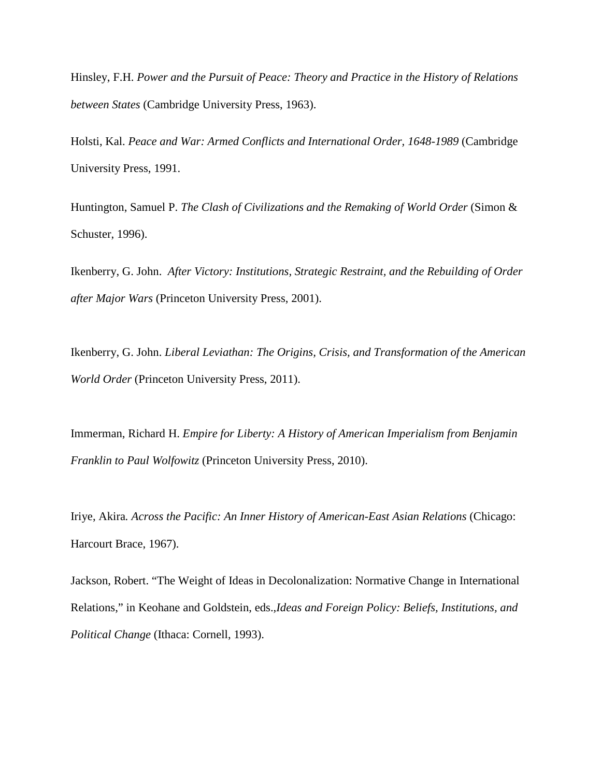Hinsley, F.H. *Power and the Pursuit of Peace: Theory and Practice in the History of Relations between States* (Cambridge University Press, 1963).

Holsti, Kal. *Peace and War: Armed Conflicts and International Order, 1648-1989* (Cambridge University Press, 1991.

Huntington, Samuel P. *The Clash of Civilizations and the Remaking of World Order* (Simon & Schuster, 1996).

Ikenberry, G. John. *After Victory: Institutions, Strategic Restraint, and the Rebuilding of Order after Major Wars* (Princeton University Press, 2001).

Ikenberry, G. John. *Liberal Leviathan: The Origins, Crisis, and Transformation of the American World Order* (Princeton University Press, 2011).

Immerman, Richard H. *Empire for Liberty: A History of American Imperialism from Benjamin Franklin to Paul Wolfowitz* (Princeton University Press, 2010).

Iriye, Akira*. Across the Pacific: An Inner History of American-East Asian Relations* (Chicago: Harcourt Brace, 1967).

Jackson, Robert. "The Weight of Ideas in Decolonalization: Normative Change in International Relations," in Keohane and Goldstein, eds.,*Ideas and Foreign Policy: Beliefs, Institutions, and Political Change* (Ithaca: Cornell, 1993).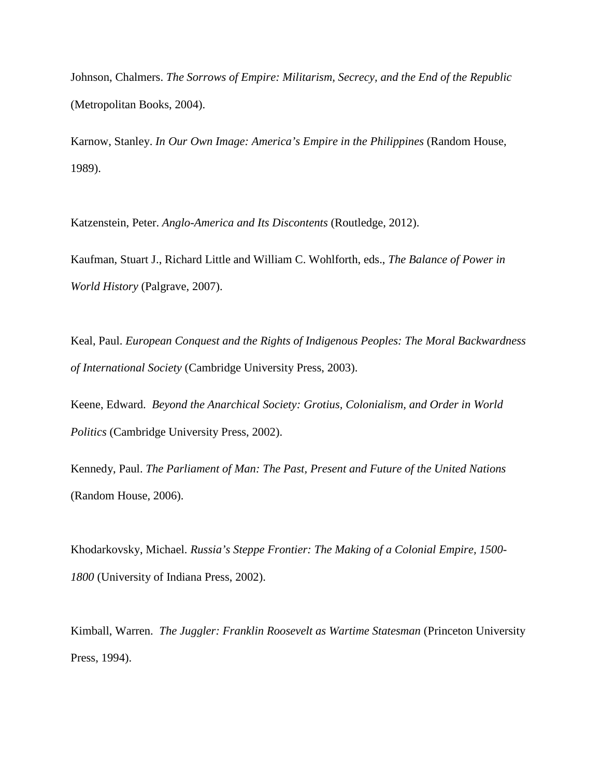Johnson, Chalmers. *The Sorrows of Empire: Militarism, Secrecy, and the End of the Republic* (Metropolitan Books, 2004).

Karnow, Stanley. *In Our Own Image: America's Empire in the Philippines* (Random House, 1989).

Katzenstein, Peter. *Anglo-America and Its Discontents* (Routledge, 2012).

Kaufman, Stuart J., Richard Little and William C. Wohlforth, eds., *The Balance of Power in World History* (Palgrave, 2007).

Keal, Paul. *European Conquest and the Rights of Indigenous Peoples: The Moral Backwardness of International Society* (Cambridge University Press, 2003).

Keene, Edward. *Beyond the Anarchical Society: Grotius, Colonialism, and Order in World Politics* (Cambridge University Press, 2002).

Kennedy, Paul. *The Parliament of Man: The Past, Present and Future of the United Nations* (Random House, 2006).

Khodarkovsky, Michael. *Russia's Steppe Frontier: The Making of a Colonial Empire, 1500- 1800* (University of Indiana Press, 2002).

Kimball, Warren. *The Juggler: Franklin Roosevelt as Wartime Statesman* (Princeton University Press, 1994).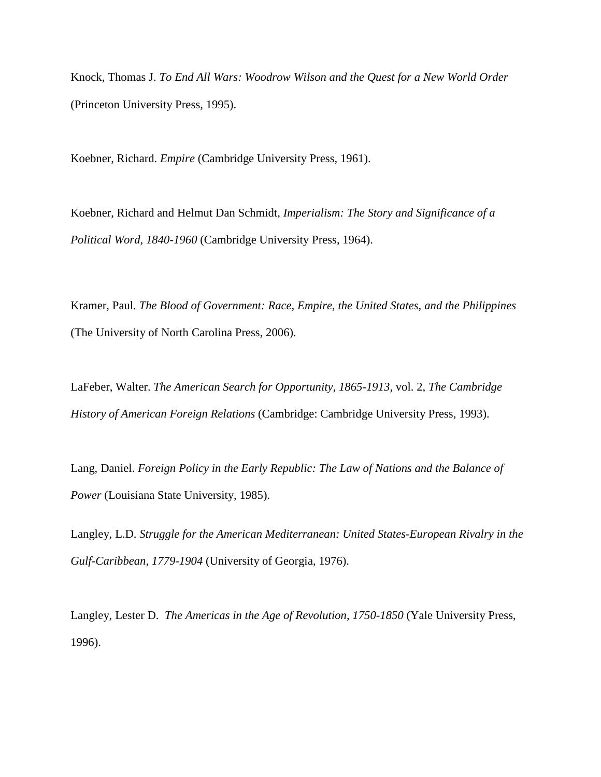Knock, Thomas J. *To End All Wars: Woodrow Wilson and the Quest for a New World Order* (Princeton University Press, 1995).

Koebner, Richard. *Empire* (Cambridge University Press, 1961).

Koebner, Richard and Helmut Dan Schmidt, *Imperialism: The Story and Significance of a Political Word, 1840-1960* (Cambridge University Press, 1964).

Kramer, Paul*. The Blood of Government: Race, Empire, the United States, and the Philippines* (The University of North Carolina Press, 2006)*.* 

LaFeber, Walter. *The American Search for Opportunity, 1865-1913*, vol. 2, *The Cambridge History of American Foreign Relations* (Cambridge: Cambridge University Press, 1993).

Lang, Daniel. *Foreign Policy in the Early Republic: The Law of Nations and the Balance of Power* (Louisiana State University, 1985).

Langley, L.D. *Struggle for the American Mediterranean: United States-European Rivalry in the Gulf-Caribbean, 1779-1904* (University of Georgia, 1976).

Langley, Lester D. *The Americas in the Age of Revolution, 1750-1850* (Yale University Press, 1996).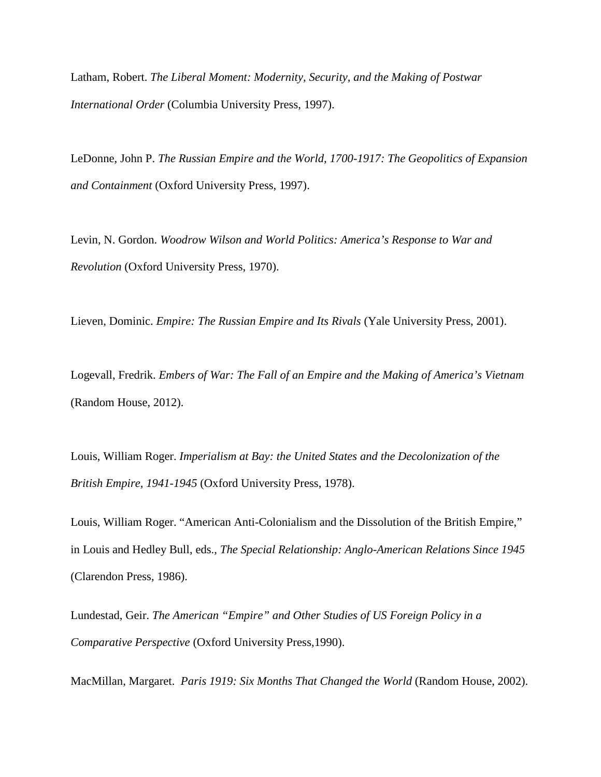Latham, Robert. *The Liberal Moment: Modernity, Security, and the Making of Postwar International Order* (Columbia University Press, 1997).

LeDonne, John P. *The Russian Empire and the World, 1700-1917: The Geopolitics of Expansion and Containment* (Oxford University Press, 1997).

Levin, N. Gordon. *Woodrow Wilson and World Politics: America's Response to War and Revolution* (Oxford University Press, 1970).

Lieven, Dominic. *Empire: The Russian Empire and Its Rivals* (Yale University Press, 2001).

Logevall, Fredrik. *Embers of War: The Fall of an Empire and the Making of America's Vietnam* (Random House, 2012).

Louis, William Roger. *Imperialism at Bay: the United States and the Decolonization of the British Empire, 1941-1945* (Oxford University Press, 1978).

Louis, William Roger. "American Anti-Colonialism and the Dissolution of the British Empire," in Louis and Hedley Bull, eds., *The Special Relationship: Anglo-American Relations Since 1945* (Clarendon Press, 1986).

Lundestad, Geir. *The American "Empire" and Other Studies of US Foreign Policy in a Comparative Perspective* (Oxford University Press,1990).

MacMillan, Margaret. *Paris 1919: Six Months That Changed the World* (Random House, 2002).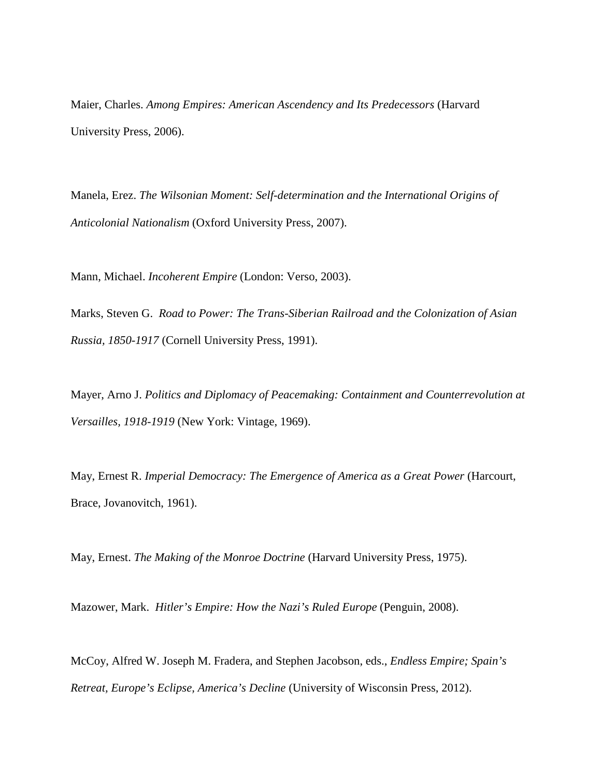Maier, Charles. *Among Empires: American Ascendency and Its Predecessors* (Harvard University Press, 2006).

Manela, Erez. *The Wilsonian Moment: Self-determination and the International Origins of Anticolonial Nationalism* (Oxford University Press, 2007).

Mann, Michael. *Incoherent Empire* (London: Verso, 2003).

Marks, Steven G. *Road to Power: The Trans-Siberian Railroad and the Colonization of Asian Russia, 1850-1917* (Cornell University Press, 1991).

Mayer, Arno J. *Politics and Diplomacy of Peacemaking: Containment and Counterrevolution at Versailles, 1918-1919* (New York: Vintage, 1969).

May, Ernest R. *Imperial Democracy: The Emergence of America as a Great Power* (Harcourt, Brace, Jovanovitch, 1961).

May, Ernest. *The Making of the Monroe Doctrine* (Harvard University Press, 1975).

Mazower, Mark. *Hitler's Empire: How the Nazi's Ruled Europe* (Penguin, 2008).

McCoy, Alfred W. Joseph M. Fradera, and Stephen Jacobson, eds., *Endless Empire; Spain's Retreat, Europe's Eclipse, America's Decline* (University of Wisconsin Press, 2012).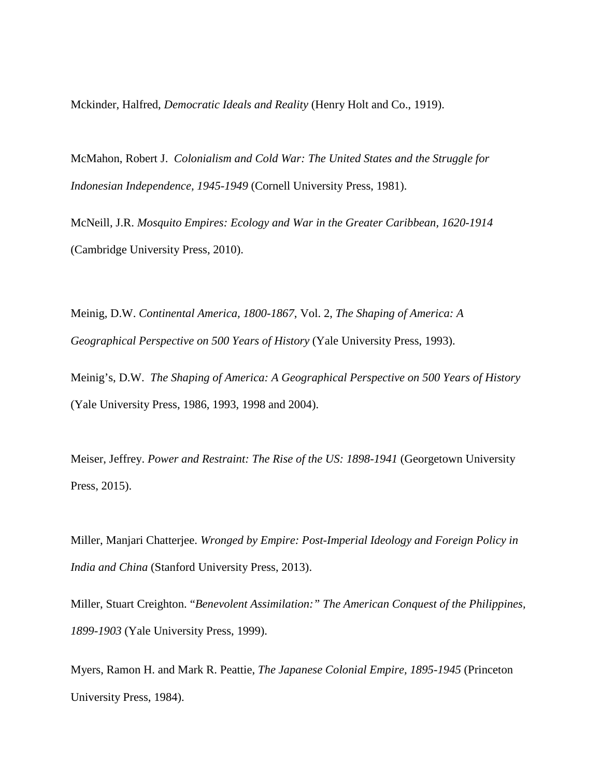Mckinder, Halfred, *Democratic Ideals and Reality* (Henry Holt and Co., 1919).

McMahon, Robert J. *Colonialism and Cold War: The United States and the Struggle for Indonesian Independence, 1945-1949* (Cornell University Press, 1981).

McNeill, J.R. *Mosquito Empires: Ecology and War in the Greater Caribbean, 1620-1914*  (Cambridge University Press, 2010).

Meinig, D.W. *Continental America, 1800-1867*, Vol. 2, *The Shaping of America: A Geographical Perspective on 500 Years of History* (Yale University Press, 1993).

Meinig's, D.W. *The Shaping of America: A Geographical Perspective on 500 Years of History* (Yale University Press, 1986, 1993, 1998 and 2004).

Meiser, Jeffrey. *Power and Restraint: The Rise of the US: 1898-1941* (Georgetown University Press, 2015).

Miller, Manjari Chatterjee. *Wronged by Empire: Post-Imperial Ideology and Foreign Policy in India and China* (Stanford University Press, 2013).

Miller, Stuart Creighton. "*Benevolent Assimilation:" The American Conquest of the Philippines, 1899-1903* (Yale University Press, 1999).

Myers, Ramon H. and Mark R. Peattie, *The Japanese Colonial Empire, 1895-1945* (Princeton University Press, 1984).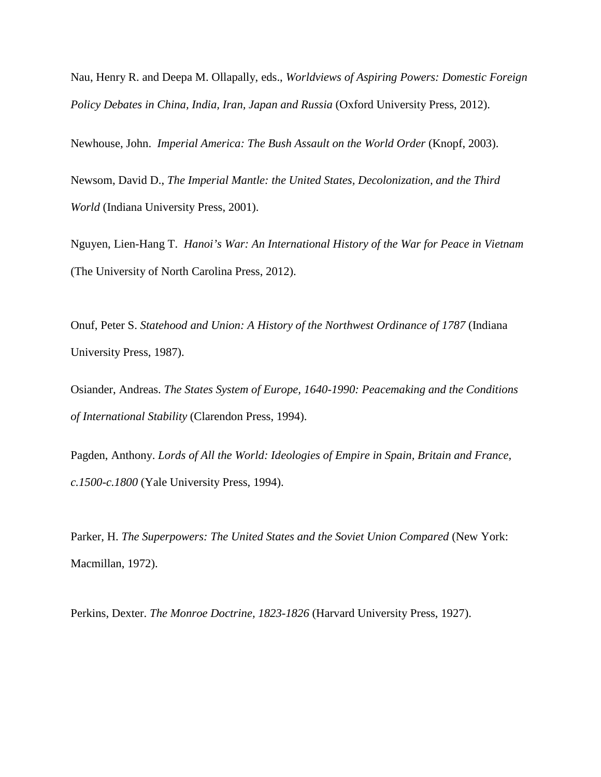Nau, Henry R. and Deepa M. Ollapally, eds., *Worldviews of Aspiring Powers: Domestic Foreign Policy Debates in China, India, Iran, Japan and Russia* (Oxford University Press, 2012).

Newhouse, John. *Imperial America: The Bush Assault on the World Order* (Knopf, 2003).

Newsom, David D., *The Imperial Mantle: the United States, Decolonization, and the Third World* (Indiana University Press, 2001).

Nguyen, Lien-Hang T. *Hanoi's War: An International History of the War for Peace in Vietnam* (The University of North Carolina Press, 2012).

Onuf, Peter S. *Statehood and Union: A History of the Northwest Ordinance of 1787* (Indiana University Press, 1987).

Osiander, Andreas. *The States System of Europe, 1640-1990: Peacemaking and the Conditions of International Stability* (Clarendon Press, 1994).

Pagden, Anthony. *Lords of All the World: Ideologies of Empire in Spain, Britain and France, c.1500-c.1800* (Yale University Press, 1994).

Parker, H. *The Superpowers: The United States and the Soviet Union Compared* (New York: Macmillan, 1972).

Perkins, Dexter. *The Monroe Doctrine, 1823-1826* (Harvard University Press, 1927).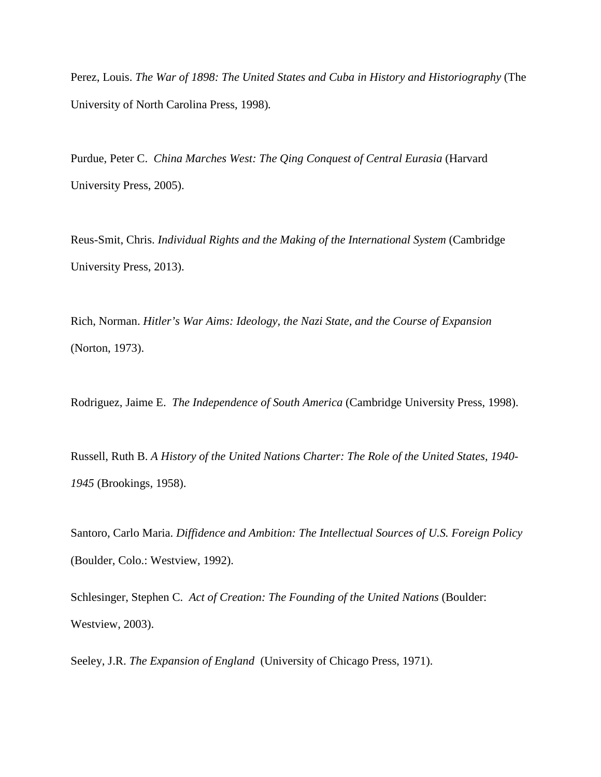Perez, Louis. *The War of 1898: The United States and Cuba in History and Historiography* (The University of North Carolina Press, 1998)*.*

Purdue, Peter C. *China Marches West: The Qing Conquest of Central Eurasia* (Harvard University Press, 2005).

Reus-Smit, Chris. *Individual Rights and the Making of the International System* (Cambridge University Press, 2013).

Rich, Norman. *Hitler's War Aims: Ideology, the Nazi State, and the Course of Expansion* (Norton, 1973).

Rodriguez, Jaime E. *The Independence of South America* (Cambridge University Press, 1998).

Russell, Ruth B. *A History of the United Nations Charter: The Role of the United States, 1940- 1945* (Brookings, 1958).

Santoro, Carlo Maria. *Diffidence and Ambition: The Intellectual Sources of U.S. Foreign Policy* (Boulder, Colo.: Westview, 1992).

Schlesinger, Stephen C. *Act of Creation: The Founding of the United Nations* (Boulder: Westview, 2003).

Seeley, J.R. *The Expansion of England* (University of Chicago Press, 1971).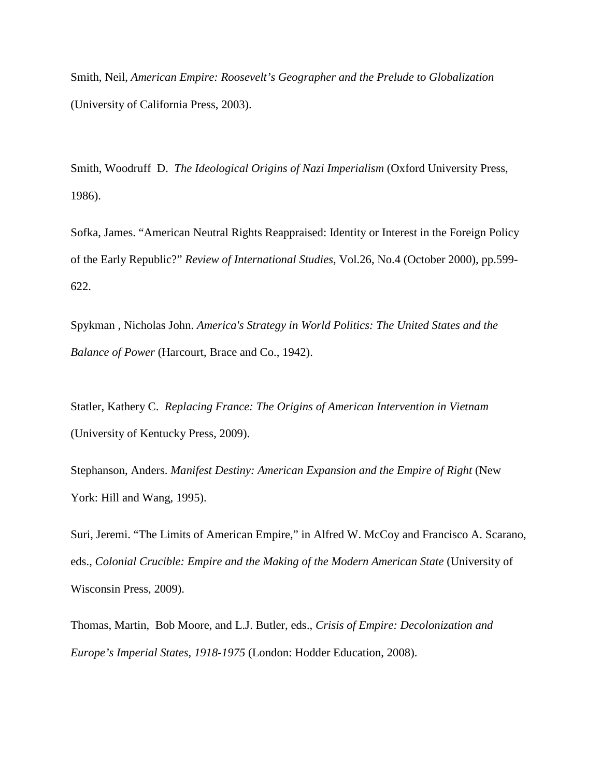Smith, Neil, *American Empire: Roosevelt's Geographer and the Prelude to Globalization* (University of California Press, 2003).

Smith, Woodruff D. *The Ideological Origins of Nazi Imperialism* (Oxford University Press, 1986).

Sofka, James. "American Neutral Rights Reappraised: Identity or Interest in the Foreign Policy of the Early Republic?" *Review of International Studies*, Vol.26, No.4 (October 2000), pp.599- 622.

Spykman , Nicholas John. *America's Strategy in World Politics: The United States and the Balance of Power* (Harcourt, Brace and Co., 1942).

Statler, Kathery C. *Replacing France: The Origins of American Intervention in Vietnam* (University of Kentucky Press, 2009).

Stephanson, Anders. *Manifest Destiny: American Expansion and the Empire of Right* (New York: Hill and Wang, 1995).

Suri, Jeremi. "The Limits of American Empire," in Alfred W. McCoy and Francisco A. Scarano, eds., *Colonial Crucible: Empire and the Making of the Modern American State* (University of Wisconsin Press, 2009).

Thomas, Martin, Bob Moore, and L.J. Butler, eds., *Crisis of Empire: Decolonization and Europe's Imperial States, 1918-1975* (London: Hodder Education, 2008).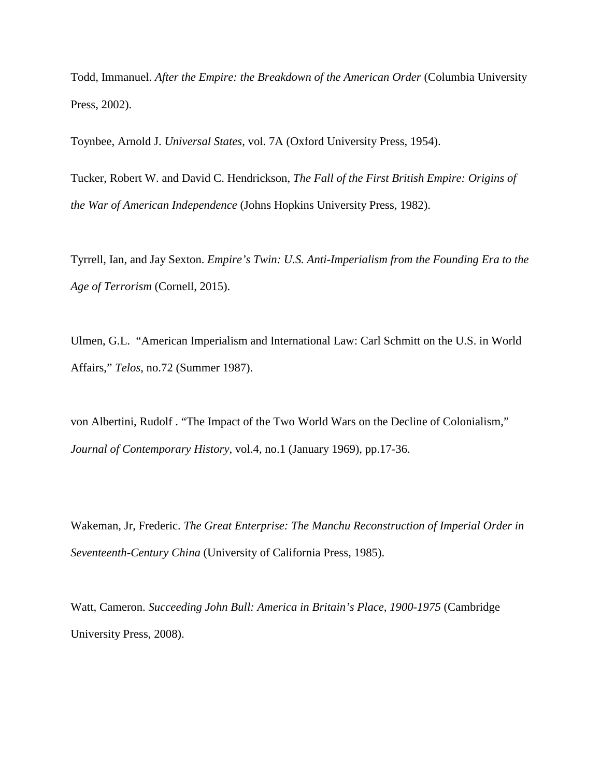Todd, Immanuel. *After the Empire: the Breakdown of the American Order* (Columbia University Press, 2002).

Toynbee, Arnold J. *Universal States*, vol. 7A (Oxford University Press, 1954).

Tucker, Robert W. and David C. Hendrickson, *The Fall of the First British Empire: Origins of the War of American Independence* (Johns Hopkins University Press, 1982).

Tyrrell, Ian, and Jay Sexton. *Empire's Twin: U.S. Anti-Imperialism from the Founding Era to the Age of Terrorism* (Cornell, 2015).

Ulmen, G.L. "American Imperialism and International Law: Carl Schmitt on the U.S. in World Affairs," *Telos*, no.72 (Summer 1987).

von Albertini, Rudolf . "The Impact of the Two World Wars on the Decline of Colonialism," *Journal of Contemporary History*, vol.4, no.1 (January 1969), pp.17-36.

Wakeman, Jr, Frederic. *The Great Enterprise: The Manchu Reconstruction of Imperial Order in Seventeenth-Century China* (University of California Press, 1985).

Watt, Cameron. *Succeeding John Bull: America in Britain's Place, 1900-1975* (Cambridge University Press, 2008).